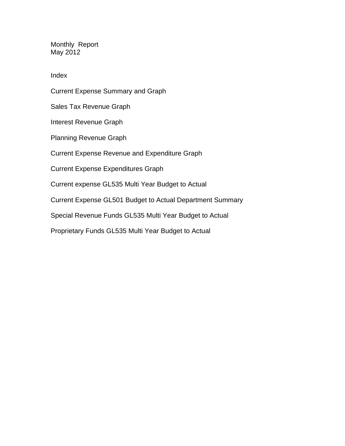Monthly Report May 2012

Index

Current Expense Summary and Graph Sales Tax Revenue Graph Interest Revenue Graph Planning Revenue Graph Current Expense Revenue and Expenditure Graph Current Expense Expenditures Graph Current expense GL535 Multi Year Budget to Actual Current Expense GL501 Budget to Actual Department Summary Special Revenue Funds GL535 Multi Year Budget to Actual Proprietary Funds GL535 Multi Year Budget to Actual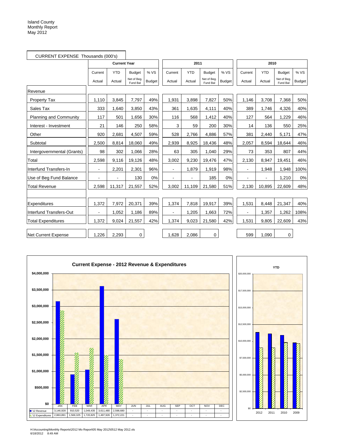| CURRENT EXPENSE Thousands (000's) |         |                     |                         |               |                |            |                         |               |                          |            |                         |               |
|-----------------------------------|---------|---------------------|-------------------------|---------------|----------------|------------|-------------------------|---------------|--------------------------|------------|-------------------------|---------------|
|                                   |         | <b>Current Year</b> |                         |               |                | 2011       |                         |               |                          | 2010       |                         |               |
|                                   | Current | <b>YTD</b>          | <b>Budget</b>           | % VS          | Current        | <b>YTD</b> | <b>Budget</b>           | % VS          | Current                  | <b>YTD</b> | <b>Budget</b>           | % VS          |
|                                   | Actual  | Actual              | Net of Beg.<br>Fund Bal | <b>Budget</b> | Actual         | Actual     | Net of Beg.<br>Fund Bal | <b>Budget</b> | Actual                   | Actual     | Net of Beg.<br>Fund Bal | <b>Budget</b> |
| Revenue                           |         |                     |                         |               |                |            |                         |               |                          |            |                         |               |
| <b>Property Tax</b>               | 1,110   | 3,845               | 7,797                   | 49%           | 1,931          | 3,898      | 7,827                   | 50%           | 1,146                    | 3,708      | 7,368                   | 50%           |
| Sales Tax                         | 333     | 1.640               | 3,850                   | 43%           | 361            | 1,635      | 4,111                   | 40%           | 389                      | 1.746      | 4,326                   | 40%           |
| <b>Planning and Community</b>     | 117     | 501                 | 1,656                   | 30%           | 116            | 568        | 1,412                   | 40%           | 127                      | 564        | 1,229                   | 46%           |
| Interest - Investment             | 21      | 146                 | 250                     | 58%           | 3              | 59         | 200                     | 30%           | 14                       | 136        | 550                     | 25%           |
| Other                             | 920     | 2,681               | 4,507                   | 59%           | 528            | 2,766      | 4,886                   | 57%           | 381                      | 2,440      | 5,171                   | 47%           |
| Subtotal                          | 2,500   | 8,814               | 18,060                  | 49%           | 2,939          | 8,925      | 18,436                  | 48%           | 2,057                    | 8,594      | 18,644                  | 46%           |
| Intergovernmental (Grants)        | 98      | 302                 | 1,066                   | 28%           | 63             | 305        | 1,040                   | 29%           | 73                       | 353        | 807                     | 44%           |
| Total                             | 2,598   | 9,116               | 19,126                  | 48%           | 3,002          | 9,230      | 19,476                  | 47%           | 2,130                    | 8,947      | 19,451                  | 46%           |
| Interfund Transfers-In            | ä,      | 2,201               | 2,301                   | 96%           | $\blacksquare$ | 1,879      | 1,919                   | 98%           | $\blacksquare$           | 1,948      | 1,948                   | 100%          |
| Use of Beg Fund Balance           |         |                     | 130                     | 0%            |                |            | 185                     | 0%            | $\blacksquare$           |            | 1,210                   | 0%            |
| <b>Total Revenue</b>              | 2,598   | 11,317              | 21,557                  | 52%           | 3,002          | 11,109     | 21,580                  | 51%           | 2,130                    | 10,895     | 22,609                  | 48%           |
|                                   |         |                     |                         |               |                |            |                         |               |                          |            |                         |               |
| Expenditures                      | 1,372   | 7,972               | 20,371                  | 39%           | 1,374          | 7,818      | 19,917                  | 39%           | 1,531                    | 8,448      | 21,347                  | 40%           |
| Interfund Transfers-Out           |         | 1,052               | 1,186                   | 89%           |                | 1,205      | 1,663                   | 72%           | $\overline{\phantom{a}}$ | 1,357      | 1,262                   | 108%          |
| <b>Total Expenditures</b>         | 1,372   | 9,024               | 21,557                  | 42%           | 1,374          | 9,023      | 21,580                  | 42%           | 1,531                    | 9,805      | 22,609                  | 43%           |
| Net Current Expense               | 1,226   | 2,293               | 0                       |               | 1,628          | 2,086      | 0                       |               | 599                      | 1,090      | 0                       |               |



H:\Accounting\Monthly Reports\2012 Mo Report\05 May 2012\0512 May 2012.xls 6/18/2012 8:49 AM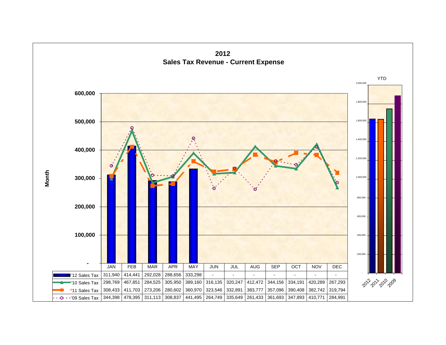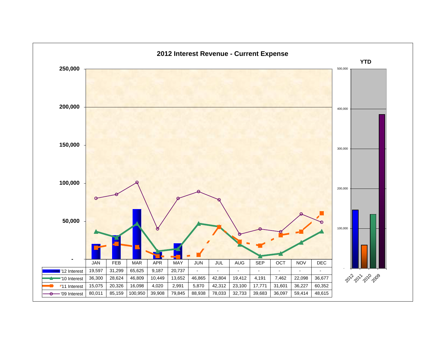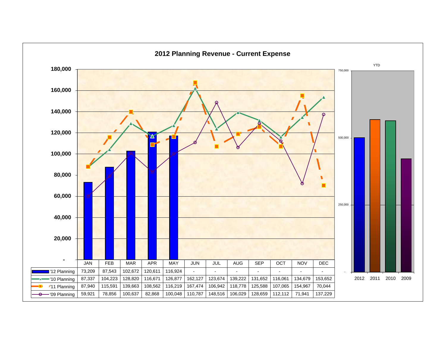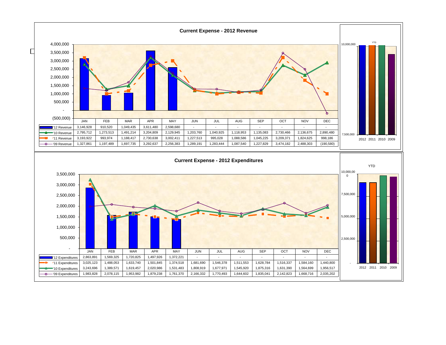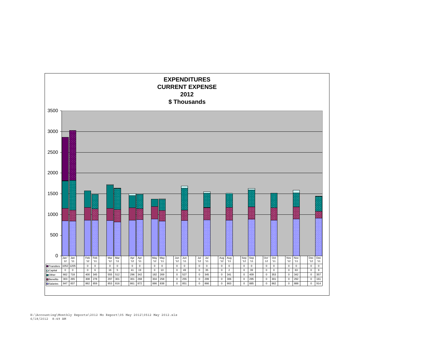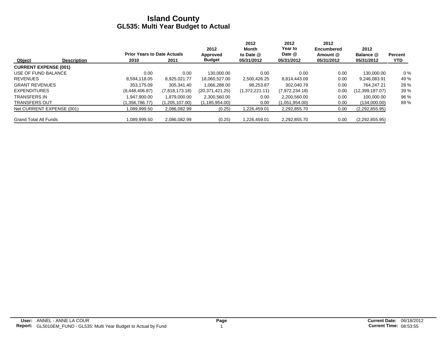|                              |                    |                                    |                | 2012             | 2012<br>Month  | 2012<br>Year to | 2012<br><b>Encumbered</b> | 2012            |                |
|------------------------------|--------------------|------------------------------------|----------------|------------------|----------------|-----------------|---------------------------|-----------------|----------------|
|                              |                    | <b>Prior Years to Date Actuals</b> |                | Approved         | to Date @      | Date @          | Amount @                  | Balance @       | <b>Percent</b> |
| Object                       | <b>Description</b> | 2010                               | 2011           | <b>Budget</b>    | 05/31/2012     | 05/31/2012      | 05/31/2012                | 05/31/2012      | <b>YTD</b>     |
| <b>CURRENT EXPENSE (001)</b> |                    |                                    |                |                  |                |                 |                           |                 |                |
| USE OF FUND BALANCE          |                    | 0.00                               | 0.00           | 130.000.00       | 0.00           | 0.00            | 0.00                      | 130.000.00      | $0\%$          |
| <b>REVENUES</b>              |                    | 8.594.118.05                       | 8,925,021.77   | 18,060,527.00    | 2,500,426.25   | 8,814,443.09    | 0.00                      | 9,246,083.91    | 49 %           |
| <b>GRANT REVENUES</b>        |                    | 353.175.09                         | 305.341.40     | 1.066.288.00     | 98.253.87      | 302.040.79      | 0.00                      | 764.247.21      | 28 %           |
| <b>EXPENDITURES</b>          |                    | (8,448,406.87)                     | (7,818,173.18) | (20.371.421.25)  | (1,372,221.11) | (7,972,234.18)  | 0.00                      | (12,399,187.07) | 39 %           |
| <b>TRANSFERS IN</b>          |                    | .947.900.00                        | 1,879,000.00   | 2,300,560.00     | 0.00           | 2.200.560.00    | 0.00                      | 100.000.00      | 96 %           |
| <b>TRANSFERS OUT</b>         |                    | (1,356,786.77)                     | (1,205,107.00) | (1, 185, 954.00) | 0.00           | (1,051,954.00)  | 0.00                      | (134,000.00)    | 89%            |
| Net CURRENT EXPENSE (001)    |                    | ,089,999.50                        | 2,086,082.99   | (0.25)           | 1.226.459.01   | 2,292,855.70    | 0.00                      | (2,292,855.95)  |                |
| <b>Grand Total All Funds</b> |                    | 089.999.50                         | 2,086,082.99   | (0.25)           | 1.226.459.01   | 2,292,855.70    | 0.00                      | (2,292,855.95)  |                |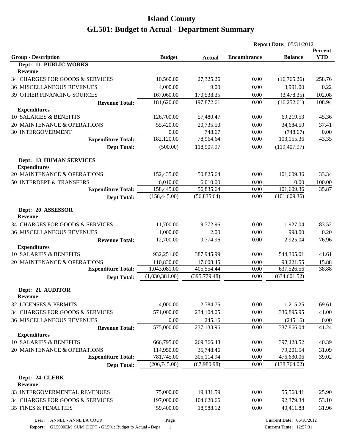|                                                     |                    |                      | <b>Report Date: 05/31/2012</b> |                                 |                              |
|-----------------------------------------------------|--------------------|----------------------|--------------------------------|---------------------------------|------------------------------|
|                                                     |                    |                      |                                | <b>Balance</b>                  | <b>Percent</b><br><b>YTD</b> |
| <b>Group - Description</b><br>Dept: 11 PUBLIC WORKS | <b>Budget</b>      | <b>Actual</b>        | <b>Encumbrance</b>             |                                 |                              |
| <b>Revenue</b>                                      |                    |                      |                                |                                 |                              |
| 34 CHARGES FOR GOODS & SERVICES                     | 10,560.00          | 27,325.26            | 0.00                           | (16,765.26)                     | 258.76                       |
| <b>36 MISCELLANEOUS REVENUES</b>                    | 4,000.00           | 9.00                 | 0.00                           | 3,991.00                        | 0.22                         |
| 39 OTHER FINANCING SOURCES                          | 167,060.00         | 170,538.35           | 0.00                           | (3,478.35)                      | 102.08                       |
| <b>Revenue Total:</b>                               | 181,620.00         | 197,872.61           | 0.00                           | (16, 252.61)                    | 108.94                       |
| <b>Expenditures</b>                                 |                    |                      |                                |                                 |                              |
| <b>10 SALARIES &amp; BENEFITS</b>                   | 126,700.00         | 57,480.47            | 0.00                           | 69,219.53                       | 45.36                        |
| 20 MAINTENANCE & OPERATIONS                         | 55,420.00          | 20,735.50            | 0.00                           | 34,684.50                       | 37.41                        |
| <b>30 INTERGOVERMENT</b>                            | 0.00               | 748.67               | 0.00                           | (748.67)                        | 0.00                         |
| <b>Expenditure Total:</b>                           | 182,120.00         | 78,964.64            | 0.00                           | 103,155.36                      | 43.35                        |
| <b>Dept Total:</b>                                  | (500.00)           | 118,907.97           | 0.00                           | (119, 407.97)                   |                              |
|                                                     |                    |                      |                                |                                 |                              |
| <b>Dept: 13 HUMAN SERVICES</b>                      |                    |                      |                                |                                 |                              |
| <b>Expenditures</b>                                 |                    |                      |                                |                                 |                              |
| 20 MAINTENANCE & OPERATIONS                         | 152,435.00         | 50,825.64            | 0.00                           | 101,609.36                      | 33.34                        |
| 50 INTERDEPT & TRANSFERS                            | 6,010.00           | 6,010.00             | 0.00                           | 0.00                            | 100.00                       |
| <b>Expenditure Total:</b>                           | 158,445.00         | 56,835.64            | 0.00<br>0.00                   | 101,609.36                      | 35.87                        |
| <b>Dept Total:</b>                                  | (158, 445.00)      | (56, 835.64)         |                                | (101, 609.36)                   |                              |
| Dept: 20 ASSESSOR                                   |                    |                      |                                |                                 |                              |
| <b>Revenue</b>                                      |                    |                      |                                |                                 |                              |
| 34 CHARGES FOR GOODS & SERVICES                     | 11,700.00          | 9,772.96             | 0.00                           | 1,927.04                        | 83.52                        |
| <b>36 MISCELLANEOUS REVENUES</b>                    | 1,000.00           | 2.00                 | 0.00                           | 998.00                          | 0.20                         |
| <b>Revenue Total:</b>                               | 12,700.00          | 9,774.96             | 0.00                           | 2,925.04                        | 76.96                        |
| <b>Expenditures</b>                                 |                    |                      |                                |                                 |                              |
| 10 SALARIES & BENEFITS                              | 932,251.00         | 387,945.99           | 0.00                           | 544,305.01                      | 41.61                        |
| 20 MAINTENANCE & OPERATIONS                         | 110,830.00         | 17,608.45            | 0.00                           | 93,221.55                       | 15.88                        |
| <b>Expenditure Total:</b>                           | 1,043,081.00       | 405,554.44           | 0.00                           | 637,526.56                      | 38.88                        |
| <b>Dept Total:</b>                                  | (1,030,381.00)     | (395, 779.48)        | 0.00                           | (634, 601.52)                   |                              |
|                                                     |                    |                      |                                |                                 |                              |
| Dept: 21 AUDITOR<br><b>Revenue</b>                  |                    |                      |                                |                                 |                              |
| 32 LICENSES & PERMITS                               |                    |                      | 0.00                           |                                 | 69.61                        |
|                                                     | 4,000.00           | 2,784.75             |                                | 1,215.25                        |                              |
| 34 CHARGES FOR GOODS & SERVICES                     | 571,000.00         | 234,104.05           | 0.00                           | 336,895.95                      | 41.00                        |
| <b>36 MISCELLANEOUS REVENUES</b>                    | 0.00<br>575,000.00 | 245.16<br>237,133.96 | 0.00<br>0.00                   | (245.16)<br>337,866.04          | 0.00                         |
| <b>Revenue Total:</b><br><b>Expenditures</b>        |                    |                      |                                |                                 | 41.24                        |
| 10 SALARIES & BENEFITS                              | 666,795.00         | 269,366.48           | 0.00                           | 397,428.52                      | 40.39                        |
| 20 MAINTENANCE & OPERATIONS                         | 114,950.00         | 35,748.46            | 0.00                           | 79,201.54                       | 31.09                        |
| <b>Expenditure Total:</b>                           | 781,745.00         | 305,114.94           | 0.00                           | 476,630.06                      | 39.02                        |
| <b>Dept Total:</b>                                  | (206, 745.00)      | (67,980.98)          | 0.00                           | (138, 764.02)                   |                              |
|                                                     |                    |                      |                                |                                 |                              |
| Dept: 24 CLERK                                      |                    |                      |                                |                                 |                              |
| <b>Revenue</b>                                      |                    |                      |                                |                                 |                              |
| 33 INTERGOVERMENTAL REVENUES                        | 75,000.00          | 19,431.59            | 0.00                           | 55,568.41                       | 25.90                        |
| 34 CHARGES FOR GOODS & SERVICES                     | 197,000.00         | 104,620.66           | 0.00                           | 92,379.34                       | 53.10                        |
| <b>35 FINES &amp; PENALTIES</b>                     | 59,400.00          | 18,988.12            | 0.00                           | 40,411.88                       | 31.96                        |
| ANNEL - ANNE LA COUR<br>User:                       | Page               |                      |                                | <b>Current Date: 06/18/2012</b> |                              |
|                                                     |                    |                      |                                |                                 |                              |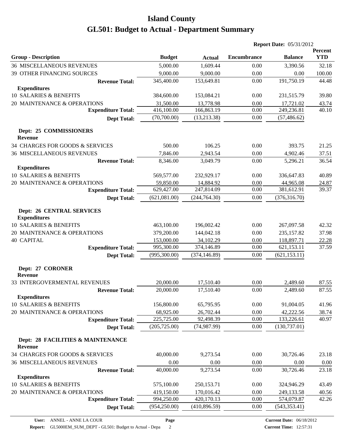|                                                         |               |               |                    | <b>Report Date: 05/31/2012</b> |                       |
|---------------------------------------------------------|---------------|---------------|--------------------|--------------------------------|-----------------------|
| <b>Group - Description</b>                              | <b>Budget</b> | <b>Actual</b> | <b>Encumbrance</b> | <b>Balance</b>                 | Percent<br><b>YTD</b> |
| <b>36 MISCELLANEOUS REVENUES</b>                        | 5,000.00      | 1,609.44      | 0.00               | 3,390.56                       | 32.18                 |
| 39 OTHER FINANCING SOURCES                              | 9,000.00      | 9,000.00      | 0.00               | 0.00                           | 100.00                |
| <b>Revenue Total:</b>                                   | 345,400.00    | 153,649.81    | 0.00               | 191,750.19                     | 44.48                 |
| <b>Expenditures</b>                                     |               |               |                    |                                |                       |
| 10 SALARIES & BENEFITS                                  | 384,600.00    | 153,084.21    | 0.00               | 231,515.79                     | 39.80                 |
| 20 MAINTENANCE & OPERATIONS                             | 31,500.00     | 13,778.98     | 0.00               | 17,721.02                      | 43.74                 |
| <b>Expenditure Total:</b>                               | 416,100.00    | 166,863.19    | 0.00               | 249,236.81                     | 40.10                 |
| <b>Dept Total:</b>                                      | (70,700.00)   | (13,213.38)   | 0.00               | (57, 486.62)                   |                       |
| Dept: 25 COMMISSIONERS                                  |               |               |                    |                                |                       |
| Revenue                                                 |               |               |                    |                                |                       |
| 34 CHARGES FOR GOODS & SERVICES                         | 500.00        | 106.25        | 0.00               | 393.75                         | 21.25                 |
| <b>36 MISCELLANEOUS REVENUES</b>                        | 7,846.00      | 2,943.54      | 0.00               | 4,902.46                       | 37.51                 |
| <b>Revenue Total:</b>                                   | 8,346.00      | 3,049.79      | 0.00               | 5,296.21                       | 36.54                 |
| <b>Expenditures</b>                                     |               |               |                    |                                |                       |
| 10 SALARIES & BENEFITS                                  | 569,577.00    | 232,929.17    | 0.00               | 336,647.83                     | 40.89                 |
| 20 MAINTENANCE & OPERATIONS                             | 59,850.00     | 14,884.92     | 0.00               | 44,965.08                      | 24.87                 |
| <b>Expenditure Total:</b>                               | 629,427.00    | 247,814.09    | 0.00               | 381,612.91                     | 39.37                 |
| <b>Dept Total:</b>                                      | (621,081.00)  | (244, 764.30) | 0.00               | (376, 316.70)                  |                       |
| <b>Dept: 26 CENTRAL SERVICES</b><br><b>Expenditures</b> |               |               |                    |                                |                       |
| <b>10 SALARIES &amp; BENEFITS</b>                       | 463,100.00    | 196,002.42    | 0.00               | 267,097.58                     | 42.32                 |
| 20 MAINTENANCE & OPERATIONS                             | 379,200.00    | 144,042.18    | 0.00               | 235,157.82                     | 37.98                 |
| <b>40 CAPITAL</b>                                       | 153,000.00    | 34,102.29     | 0.00               | 118,897.71                     | 22.28                 |
| <b>Expenditure Total:</b>                               | 995,300.00    | 374,146.89    | 0.00               | 621,153.11                     | 37.59                 |
| <b>Dept Total:</b>                                      | (995,300.00)  | (374, 146.89) | 0.00               | (621, 153.11)                  |                       |
| Dept: 27 CORONER<br><b>Revenue</b>                      |               |               |                    |                                |                       |
| 33 INTERGOVERMENTAL REVENUES                            | 20,000.00     | 17,510.40     | 0.00               | 2,489.60                       | 87.55                 |
| <b>Revenue Total:</b>                                   | 20,000.00     | 17,510.40     | 0.00               | 2,489.60                       | 87.55                 |
| <b>Expenditures</b>                                     |               |               |                    |                                |                       |
| 10 SALARIES & BENEFITS                                  | 156,800.00    | 65,795.95     | 0.00               | 91,004.05                      | 41.96                 |
| 20 MAINTENANCE & OPERATIONS                             | 68,925.00     | 26,702.44     | 0.00               | 42,222.56                      | 38.74                 |
| <b>Expenditure Total:</b>                               | 225,725.00    | 92,498.39     | 0.00               | 133,226.61                     | 40.97                 |
| <b>Dept Total:</b>                                      | (205, 725.00) | (74, 987.99)  | 0.00               | (130, 737.01)                  |                       |
| Dept: 28 FACILITIES & MAINTENANCE<br>Revenue            |               |               |                    |                                |                       |
| 34 CHARGES FOR GOODS & SERVICES                         | 40,000.00     | 9,273.54      | 0.00               | 30,726.46                      | 23.18                 |
| 36 MISCELLANEOUS REVENUES                               | 0.00          | 0.00          | 0.00               | 0.00                           | 0.00                  |
| <b>Revenue Total:</b>                                   | 40,000.00     | 9,273.54      | 0.00               | 30,726.46                      | 23.18                 |
| <b>Expenditures</b>                                     |               |               |                    |                                |                       |
| 10 SALARIES & BENEFITS                                  | 575,100.00    | 250,153.71    | 0.00               | 324,946.29                     | 43.49                 |
| 20 MAINTENANCE & OPERATIONS                             | 419,150.00    | 170,016.42    | 0.00               | 249,133.58                     | 40.56                 |
| <b>Expenditure Total:</b>                               | 994,250.00    | 420,170.13    | 0.00               | 574,079.87                     | 42.26                 |
| <b>Dept Total:</b>                                      | (954, 250.00) | (410, 896.59) | 0.00               | (543, 353.41)                  |                       |

**Report:** GL5000EM\_SUM\_DEPT - GL501: Budget to Actual - Depa 2

**Page**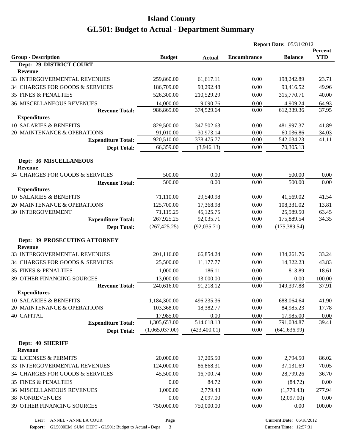|                                                 |                |               | <b>Report Date: 05/31/2012</b> |                |                              |
|-------------------------------------------------|----------------|---------------|--------------------------------|----------------|------------------------------|
| <b>Group - Description</b>                      | <b>Budget</b>  | <b>Actual</b> | <b>Encumbrance</b>             | <b>Balance</b> | <b>Percent</b><br><b>YTD</b> |
| Dept: 29 DISTRICT COURT                         |                |               |                                |                |                              |
| <b>Revenue</b>                                  |                |               |                                |                |                              |
| 33 INTERGOVERMENTAL REVENUES                    | 259,860.00     | 61,617.11     | 0.00                           | 198,242.89     | 23.71                        |
| 34 CHARGES FOR GOODS & SERVICES                 | 186,709.00     | 93,292.48     | 0.00                           | 93,416.52      | 49.96                        |
| 35 FINES & PENALTIES                            | 526,300.00     | 210,529.29    | 0.00                           | 315,770.71     | 40.00                        |
| <b>36 MISCELLANEOUS REVENUES</b>                | 14,000.00      | 9,090.76      | 0.00                           | 4,909.24       | 64.93                        |
| <b>Revenue Total:</b>                           | 986,869.00     | 374,529.64    | 0.00                           | 612,339.36     | 37.95                        |
| <b>Expenditures</b>                             |                |               |                                |                |                              |
| 10 SALARIES & BENEFITS                          | 829,500.00     | 347,502.63    | 0.00                           | 481,997.37     | 41.89                        |
| 20 MAINTENANCE & OPERATIONS                     | 91,010.00      | 30,973.14     | 0.00                           | 60,036.86      | 34.03                        |
| <b>Expenditure Total:</b>                       | 920,510.00     | 378,475.77    | 0.00                           | 542,034.23     | 41.11                        |
| <b>Dept Total:</b>                              | 66,359.00      | (3,946.13)    | 0.00                           | 70,305.13      |                              |
| Dept: 36 MISCELLANEOUS<br><b>Revenue</b>        |                |               |                                |                |                              |
| 34 CHARGES FOR GOODS & SERVICES                 | 500.00         | 0.00          | 0.00                           | 500.00         | 0.00                         |
| <b>Revenue Total:</b>                           | 500.00         | 0.00          | 0.00                           | 500.00         | 0.00                         |
| <b>Expenditures</b>                             |                |               |                                |                |                              |
| 10 SALARIES & BENEFITS                          | 71,110.00      | 29,540.98     | 0.00                           | 41,569.02      | 41.54                        |
| 20 MAINTENANCE & OPERATIONS                     | 125,700.00     | 17,368.98     | 0.00                           | 108,331.02     | 13.81                        |
| <b>30 INTERGOVERMENT</b>                        | 71,115.25      | 45,125.75     | 0.00                           | 25,989.50      | 63.45                        |
| <b>Expenditure Total:</b>                       | 267,925.25     | 92,035.71     | 0.00                           | 175,889.54     | 34.35                        |
| <b>Dept Total:</b>                              | (267, 425.25)  | (92, 035.71)  | 0.00                           | (175, 389.54)  |                              |
|                                                 |                |               |                                |                |                              |
| Dept: 39 PROSECUTING ATTORNEY<br><b>Revenue</b> |                |               |                                |                |                              |
| 33 INTERGOVERMENTAL REVENUES                    | 201,116.00     | 66,854.24     | 0.00                           | 134,261.76     | 33.24                        |
| 34 CHARGES FOR GOODS & SERVICES                 | 25,500.00      | 11,177.77     | 0.00                           | 14,322.23      | 43.83                        |
| <b>35 FINES &amp; PENALTIES</b>                 | 1,000.00       | 186.11        | 0.00                           | 813.89         | 18.61                        |
| 39 OTHER FINANCING SOURCES                      | 13,000.00      | 13,000.00     | 0.00                           | 0.00           | 100.00                       |
| <b>Revenue Total:</b>                           | 240,616.00     | 91,218.12     | 0.00                           | 149,397.88     | 37.91                        |
| <b>Expenditures</b>                             |                |               |                                |                |                              |
| 10 SALARIES & BENEFITS                          | 1,184,300.00   | 496,235.36    | 0.00                           | 688,064.64     | 41.90                        |
| 20 MAINTENANCE & OPERATIONS                     | 103,368.00     | 18,382.77     | 0.00                           | 84,985.23      | 17.78                        |
| <b>40 CAPITAL</b>                               | 17,985.00      | 0.00          | 0.00                           | 17,985.00      | 0.00                         |
| <b>Expenditure Total:</b>                       | 1,305,653.00   | 514,618.13    | 0.00                           | 791,034.87     | 39.41                        |
| <b>Dept Total:</b>                              | (1,065,037.00) | (423, 400.01) | 0.00                           | (641, 636.99)  |                              |
|                                                 |                |               |                                |                |                              |
| Dept: 40 SHERIFF<br><b>Revenue</b>              |                |               |                                |                |                              |
| 32 LICENSES & PERMITS                           | 20,000.00      | 17,205.50     | 0.00                           | 2,794.50       | 86.02                        |
| 33 INTERGOVERMENTAL REVENUES                    | 124,000.00     | 86,868.31     | 0.00                           | 37,131.69      | 70.05                        |
| 34 CHARGES FOR GOODS & SERVICES                 | 45,500.00      | 16,700.74     | 0.00                           | 28,799.26      | 36.70                        |
| 35 FINES & PENALTIES                            | 0.00           | 84.72         | 0.00                           | (84.72)        | 0.00                         |
| <b>36 MISCELLANEOUS REVENUES</b>                | 1,000.00       | 2,779.43      | 0.00                           | (1,779.43)     | 277.94                       |
| <b>38 NONREVENUES</b>                           | 0.00           | 2,097.00      | 0.00                           | (2,097.00)     | 0.00                         |
| 39 OTHER FINANCING SOURCES                      | 750,000.00     | 750,000.00    | 0.00                           | 0.00           | 100.00                       |
|                                                 |                |               |                                |                |                              |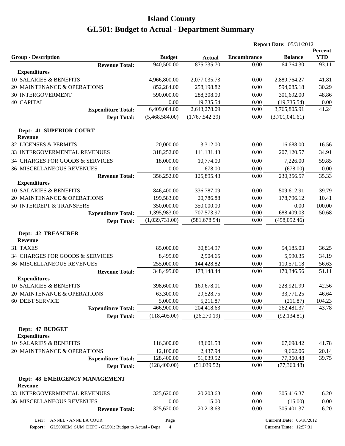| Percent<br><b>YTD</b><br><b>Group - Description</b><br><b>Budget</b><br><b>Encumbrance</b><br><b>Balance</b><br><b>Actual</b><br>875,735.70<br>940,500.00<br>93.11<br><b>Revenue Total:</b><br>0.00<br>64,764.30<br><b>Expenditures</b><br>10 SALARIES & BENEFITS<br>4,966,800.00<br>2,077,035.73<br>0.00<br>2,889,764.27<br>41.81<br>30.29<br>20 MAINTENANCE & OPERATIONS<br>852,284.00<br>258,198.82<br>0.00<br>594,085.18<br><b>30 INTERGOVERMENT</b><br>590,000.00<br>288,308.00<br>0.00<br>301,692.00<br>48.86<br><b>40 CAPITAL</b><br>19,735.54<br>(19, 735.54)<br>0.00<br>0.00<br>0.00<br>6,409,084.00<br>41.24<br>2,643,278.09<br>0.00<br>3,765,805.91<br><b>Expenditure Total:</b><br>(5,468,584.00)<br>(1,767,542.39)<br>0.00<br>(3,701,041.61)<br><b>Dept Total:</b><br>Dept: 41 SUPERIOR COURT<br><b>Revenue</b><br>32 LICENSES & PERMITS<br>20,000.00<br>0.00<br>16,688.00<br>3,312.00<br>16.56<br>33 INTERGOVERMENTAL REVENUES<br>318,252.00<br>111,131.43<br>207,120.57<br>34.91<br>0.00<br>34 CHARGES FOR GOODS & SERVICES<br>18,000.00<br>10,774.00<br>7,226.00<br>0.00<br>59.85<br>0.00<br>678.00<br>0.00<br>(678.00)<br><b>36 MISCELLANEOUS REVENUES</b><br>0.00<br><b>Revenue Total:</b><br>356,252.00<br>125,895.43<br>230,356.57<br>35.33<br>0.00<br><b>Expenditures</b><br>10 SALARIES & BENEFITS<br>846,400.00<br>336,787.09<br>509,612.91<br>39.79<br>0.00<br>20 MAINTENANCE & OPERATIONS<br>199,583.00<br>20,786.88<br>0.00<br>178,796.12<br>10.41<br>50 INTERDEPT & TRANSFERS<br>350,000.00<br>350,000.00<br>0.00<br>100.00<br>0.00<br>688,409.03<br>1,395,983.00<br>707,573.97<br>50.68<br>0.00<br><b>Expenditure Total:</b><br>(1,039,731.00)<br>(581, 678.54)<br>0.00<br>(458, 052.46)<br><b>Dept Total:</b><br><b>Dept: 42 TREASURER</b><br><b>Revenue</b><br>31 TAXES<br>85,000.00<br>0.00<br>54,185.03<br>36.25<br>30,814.97<br>34 CHARGES FOR GOODS & SERVICES<br>8,495.00<br>2,904.65<br>0.00<br>5,590.35<br>34.19<br>144,428.82<br>110,571.18<br><b>36 MISCELLANEOUS REVENUES</b><br>255,000.00<br>0.00<br>56.63<br>51.11<br>348,495.00<br>178,148.44<br>0.00<br>170,346.56<br><b>Revenue Total:</b><br><b>Expenditures</b><br>10 SALARIES & BENEFITS<br>398,600.00<br>169,678.01<br>0.00<br>228,921.99<br>42.56<br>20 MAINTENANCE & OPERATIONS<br>29,528.75<br>$0.00\,$<br>33,771.25<br>63,300.00<br>46.64<br>60 DEBT SERVICE<br>5,000.00<br>5,211.87<br>0.00<br>(211.87)<br>104.23<br>466,900.00<br>204,418.63<br>0.00<br>262,481.37<br>43.78<br><b>Expenditure Total:</b><br>(118, 405.00)<br>(26,270.19)<br>0.00<br>(92, 134.81)<br><b>Dept Total:</b><br>Dept: 47 BUDGET<br><b>Expenditures</b><br>10 SALARIES & BENEFITS<br>116,300.00<br>48,601.58<br>0.00<br>67,698.42<br>41.78<br>12,100.00<br>9,662.06<br>20 MAINTENANCE & OPERATIONS<br>2,437.94<br>0.00<br>20.14<br>128,400.00<br>51,039.52<br>77,360.48<br>39.75<br>0.00<br><b>Expenditure Total:</b><br>(128,400.00)<br>(51,039.52)<br>0.00<br>(77, 360.48)<br><b>Dept Total:</b><br>Dept: 48 EMERGENCY MANAGEMENT<br><b>Revenue</b><br>33 INTERGOVERMENTAL REVENUES<br>325,620.00<br>20,203.63<br>0.00<br>305,416.37<br>6.20<br>36 MISCELLANEOUS REVENUES<br>0.00<br>15.00<br>0.00<br>(15.00)<br>0.00<br>325,620.00<br>20,218.63<br>305,401.37<br>0.00<br>6.20<br><b>Revenue Total:</b><br>ANNEL - ANNE LA COUR<br>Page<br><b>Current Date: 06/18/2012</b><br>User: |  |  | <b>Report Date: 05/31/2012</b> |  |  |  |  |
|------------------------------------------------------------------------------------------------------------------------------------------------------------------------------------------------------------------------------------------------------------------------------------------------------------------------------------------------------------------------------------------------------------------------------------------------------------------------------------------------------------------------------------------------------------------------------------------------------------------------------------------------------------------------------------------------------------------------------------------------------------------------------------------------------------------------------------------------------------------------------------------------------------------------------------------------------------------------------------------------------------------------------------------------------------------------------------------------------------------------------------------------------------------------------------------------------------------------------------------------------------------------------------------------------------------------------------------------------------------------------------------------------------------------------------------------------------------------------------------------------------------------------------------------------------------------------------------------------------------------------------------------------------------------------------------------------------------------------------------------------------------------------------------------------------------------------------------------------------------------------------------------------------------------------------------------------------------------------------------------------------------------------------------------------------------------------------------------------------------------------------------------------------------------------------------------------------------------------------------------------------------------------------------------------------------------------------------------------------------------------------------------------------------------------------------------------------------------------------------------------------------------------------------------------------------------------------------------------------------------------------------------------------------------------------------------------------------------------------------------------------------------------------------------------------------------------------------------------------------------------------------------------------------------------------------------------------------------------------------------------------------------------------------------------------------------------------------------------------------------------------------------------------------------------------------------------------------------------------------------------------------------------------------------------------------------------------------------------------------------|--|--|--------------------------------|--|--|--|--|
|                                                                                                                                                                                                                                                                                                                                                                                                                                                                                                                                                                                                                                                                                                                                                                                                                                                                                                                                                                                                                                                                                                                                                                                                                                                                                                                                                                                                                                                                                                                                                                                                                                                                                                                                                                                                                                                                                                                                                                                                                                                                                                                                                                                                                                                                                                                                                                                                                                                                                                                                                                                                                                                                                                                                                                                                                                                                                                                                                                                                                                                                                                                                                                                                                                                                                                                                                                        |  |  |                                |  |  |  |  |
|                                                                                                                                                                                                                                                                                                                                                                                                                                                                                                                                                                                                                                                                                                                                                                                                                                                                                                                                                                                                                                                                                                                                                                                                                                                                                                                                                                                                                                                                                                                                                                                                                                                                                                                                                                                                                                                                                                                                                                                                                                                                                                                                                                                                                                                                                                                                                                                                                                                                                                                                                                                                                                                                                                                                                                                                                                                                                                                                                                                                                                                                                                                                                                                                                                                                                                                                                                        |  |  |                                |  |  |  |  |
|                                                                                                                                                                                                                                                                                                                                                                                                                                                                                                                                                                                                                                                                                                                                                                                                                                                                                                                                                                                                                                                                                                                                                                                                                                                                                                                                                                                                                                                                                                                                                                                                                                                                                                                                                                                                                                                                                                                                                                                                                                                                                                                                                                                                                                                                                                                                                                                                                                                                                                                                                                                                                                                                                                                                                                                                                                                                                                                                                                                                                                                                                                                                                                                                                                                                                                                                                                        |  |  |                                |  |  |  |  |
|                                                                                                                                                                                                                                                                                                                                                                                                                                                                                                                                                                                                                                                                                                                                                                                                                                                                                                                                                                                                                                                                                                                                                                                                                                                                                                                                                                                                                                                                                                                                                                                                                                                                                                                                                                                                                                                                                                                                                                                                                                                                                                                                                                                                                                                                                                                                                                                                                                                                                                                                                                                                                                                                                                                                                                                                                                                                                                                                                                                                                                                                                                                                                                                                                                                                                                                                                                        |  |  |                                |  |  |  |  |
|                                                                                                                                                                                                                                                                                                                                                                                                                                                                                                                                                                                                                                                                                                                                                                                                                                                                                                                                                                                                                                                                                                                                                                                                                                                                                                                                                                                                                                                                                                                                                                                                                                                                                                                                                                                                                                                                                                                                                                                                                                                                                                                                                                                                                                                                                                                                                                                                                                                                                                                                                                                                                                                                                                                                                                                                                                                                                                                                                                                                                                                                                                                                                                                                                                                                                                                                                                        |  |  |                                |  |  |  |  |
|                                                                                                                                                                                                                                                                                                                                                                                                                                                                                                                                                                                                                                                                                                                                                                                                                                                                                                                                                                                                                                                                                                                                                                                                                                                                                                                                                                                                                                                                                                                                                                                                                                                                                                                                                                                                                                                                                                                                                                                                                                                                                                                                                                                                                                                                                                                                                                                                                                                                                                                                                                                                                                                                                                                                                                                                                                                                                                                                                                                                                                                                                                                                                                                                                                                                                                                                                                        |  |  |                                |  |  |  |  |
|                                                                                                                                                                                                                                                                                                                                                                                                                                                                                                                                                                                                                                                                                                                                                                                                                                                                                                                                                                                                                                                                                                                                                                                                                                                                                                                                                                                                                                                                                                                                                                                                                                                                                                                                                                                                                                                                                                                                                                                                                                                                                                                                                                                                                                                                                                                                                                                                                                                                                                                                                                                                                                                                                                                                                                                                                                                                                                                                                                                                                                                                                                                                                                                                                                                                                                                                                                        |  |  |                                |  |  |  |  |
|                                                                                                                                                                                                                                                                                                                                                                                                                                                                                                                                                                                                                                                                                                                                                                                                                                                                                                                                                                                                                                                                                                                                                                                                                                                                                                                                                                                                                                                                                                                                                                                                                                                                                                                                                                                                                                                                                                                                                                                                                                                                                                                                                                                                                                                                                                                                                                                                                                                                                                                                                                                                                                                                                                                                                                                                                                                                                                                                                                                                                                                                                                                                                                                                                                                                                                                                                                        |  |  |                                |  |  |  |  |
|                                                                                                                                                                                                                                                                                                                                                                                                                                                                                                                                                                                                                                                                                                                                                                                                                                                                                                                                                                                                                                                                                                                                                                                                                                                                                                                                                                                                                                                                                                                                                                                                                                                                                                                                                                                                                                                                                                                                                                                                                                                                                                                                                                                                                                                                                                                                                                                                                                                                                                                                                                                                                                                                                                                                                                                                                                                                                                                                                                                                                                                                                                                                                                                                                                                                                                                                                                        |  |  |                                |  |  |  |  |
|                                                                                                                                                                                                                                                                                                                                                                                                                                                                                                                                                                                                                                                                                                                                                                                                                                                                                                                                                                                                                                                                                                                                                                                                                                                                                                                                                                                                                                                                                                                                                                                                                                                                                                                                                                                                                                                                                                                                                                                                                                                                                                                                                                                                                                                                                                                                                                                                                                                                                                                                                                                                                                                                                                                                                                                                                                                                                                                                                                                                                                                                                                                                                                                                                                                                                                                                                                        |  |  |                                |  |  |  |  |
|                                                                                                                                                                                                                                                                                                                                                                                                                                                                                                                                                                                                                                                                                                                                                                                                                                                                                                                                                                                                                                                                                                                                                                                                                                                                                                                                                                                                                                                                                                                                                                                                                                                                                                                                                                                                                                                                                                                                                                                                                                                                                                                                                                                                                                                                                                                                                                                                                                                                                                                                                                                                                                                                                                                                                                                                                                                                                                                                                                                                                                                                                                                                                                                                                                                                                                                                                                        |  |  |                                |  |  |  |  |
|                                                                                                                                                                                                                                                                                                                                                                                                                                                                                                                                                                                                                                                                                                                                                                                                                                                                                                                                                                                                                                                                                                                                                                                                                                                                                                                                                                                                                                                                                                                                                                                                                                                                                                                                                                                                                                                                                                                                                                                                                                                                                                                                                                                                                                                                                                                                                                                                                                                                                                                                                                                                                                                                                                                                                                                                                                                                                                                                                                                                                                                                                                                                                                                                                                                                                                                                                                        |  |  |                                |  |  |  |  |
|                                                                                                                                                                                                                                                                                                                                                                                                                                                                                                                                                                                                                                                                                                                                                                                                                                                                                                                                                                                                                                                                                                                                                                                                                                                                                                                                                                                                                                                                                                                                                                                                                                                                                                                                                                                                                                                                                                                                                                                                                                                                                                                                                                                                                                                                                                                                                                                                                                                                                                                                                                                                                                                                                                                                                                                                                                                                                                                                                                                                                                                                                                                                                                                                                                                                                                                                                                        |  |  |                                |  |  |  |  |
|                                                                                                                                                                                                                                                                                                                                                                                                                                                                                                                                                                                                                                                                                                                                                                                                                                                                                                                                                                                                                                                                                                                                                                                                                                                                                                                                                                                                                                                                                                                                                                                                                                                                                                                                                                                                                                                                                                                                                                                                                                                                                                                                                                                                                                                                                                                                                                                                                                                                                                                                                                                                                                                                                                                                                                                                                                                                                                                                                                                                                                                                                                                                                                                                                                                                                                                                                                        |  |  |                                |  |  |  |  |
|                                                                                                                                                                                                                                                                                                                                                                                                                                                                                                                                                                                                                                                                                                                                                                                                                                                                                                                                                                                                                                                                                                                                                                                                                                                                                                                                                                                                                                                                                                                                                                                                                                                                                                                                                                                                                                                                                                                                                                                                                                                                                                                                                                                                                                                                                                                                                                                                                                                                                                                                                                                                                                                                                                                                                                                                                                                                                                                                                                                                                                                                                                                                                                                                                                                                                                                                                                        |  |  |                                |  |  |  |  |
|                                                                                                                                                                                                                                                                                                                                                                                                                                                                                                                                                                                                                                                                                                                                                                                                                                                                                                                                                                                                                                                                                                                                                                                                                                                                                                                                                                                                                                                                                                                                                                                                                                                                                                                                                                                                                                                                                                                                                                                                                                                                                                                                                                                                                                                                                                                                                                                                                                                                                                                                                                                                                                                                                                                                                                                                                                                                                                                                                                                                                                                                                                                                                                                                                                                                                                                                                                        |  |  |                                |  |  |  |  |
|                                                                                                                                                                                                                                                                                                                                                                                                                                                                                                                                                                                                                                                                                                                                                                                                                                                                                                                                                                                                                                                                                                                                                                                                                                                                                                                                                                                                                                                                                                                                                                                                                                                                                                                                                                                                                                                                                                                                                                                                                                                                                                                                                                                                                                                                                                                                                                                                                                                                                                                                                                                                                                                                                                                                                                                                                                                                                                                                                                                                                                                                                                                                                                                                                                                                                                                                                                        |  |  |                                |  |  |  |  |
|                                                                                                                                                                                                                                                                                                                                                                                                                                                                                                                                                                                                                                                                                                                                                                                                                                                                                                                                                                                                                                                                                                                                                                                                                                                                                                                                                                                                                                                                                                                                                                                                                                                                                                                                                                                                                                                                                                                                                                                                                                                                                                                                                                                                                                                                                                                                                                                                                                                                                                                                                                                                                                                                                                                                                                                                                                                                                                                                                                                                                                                                                                                                                                                                                                                                                                                                                                        |  |  |                                |  |  |  |  |
|                                                                                                                                                                                                                                                                                                                                                                                                                                                                                                                                                                                                                                                                                                                                                                                                                                                                                                                                                                                                                                                                                                                                                                                                                                                                                                                                                                                                                                                                                                                                                                                                                                                                                                                                                                                                                                                                                                                                                                                                                                                                                                                                                                                                                                                                                                                                                                                                                                                                                                                                                                                                                                                                                                                                                                                                                                                                                                                                                                                                                                                                                                                                                                                                                                                                                                                                                                        |  |  |                                |  |  |  |  |
|                                                                                                                                                                                                                                                                                                                                                                                                                                                                                                                                                                                                                                                                                                                                                                                                                                                                                                                                                                                                                                                                                                                                                                                                                                                                                                                                                                                                                                                                                                                                                                                                                                                                                                                                                                                                                                                                                                                                                                                                                                                                                                                                                                                                                                                                                                                                                                                                                                                                                                                                                                                                                                                                                                                                                                                                                                                                                                                                                                                                                                                                                                                                                                                                                                                                                                                                                                        |  |  |                                |  |  |  |  |
|                                                                                                                                                                                                                                                                                                                                                                                                                                                                                                                                                                                                                                                                                                                                                                                                                                                                                                                                                                                                                                                                                                                                                                                                                                                                                                                                                                                                                                                                                                                                                                                                                                                                                                                                                                                                                                                                                                                                                                                                                                                                                                                                                                                                                                                                                                                                                                                                                                                                                                                                                                                                                                                                                                                                                                                                                                                                                                                                                                                                                                                                                                                                                                                                                                                                                                                                                                        |  |  |                                |  |  |  |  |
|                                                                                                                                                                                                                                                                                                                                                                                                                                                                                                                                                                                                                                                                                                                                                                                                                                                                                                                                                                                                                                                                                                                                                                                                                                                                                                                                                                                                                                                                                                                                                                                                                                                                                                                                                                                                                                                                                                                                                                                                                                                                                                                                                                                                                                                                                                                                                                                                                                                                                                                                                                                                                                                                                                                                                                                                                                                                                                                                                                                                                                                                                                                                                                                                                                                                                                                                                                        |  |  |                                |  |  |  |  |
|                                                                                                                                                                                                                                                                                                                                                                                                                                                                                                                                                                                                                                                                                                                                                                                                                                                                                                                                                                                                                                                                                                                                                                                                                                                                                                                                                                                                                                                                                                                                                                                                                                                                                                                                                                                                                                                                                                                                                                                                                                                                                                                                                                                                                                                                                                                                                                                                                                                                                                                                                                                                                                                                                                                                                                                                                                                                                                                                                                                                                                                                                                                                                                                                                                                                                                                                                                        |  |  |                                |  |  |  |  |
|                                                                                                                                                                                                                                                                                                                                                                                                                                                                                                                                                                                                                                                                                                                                                                                                                                                                                                                                                                                                                                                                                                                                                                                                                                                                                                                                                                                                                                                                                                                                                                                                                                                                                                                                                                                                                                                                                                                                                                                                                                                                                                                                                                                                                                                                                                                                                                                                                                                                                                                                                                                                                                                                                                                                                                                                                                                                                                                                                                                                                                                                                                                                                                                                                                                                                                                                                                        |  |  |                                |  |  |  |  |
|                                                                                                                                                                                                                                                                                                                                                                                                                                                                                                                                                                                                                                                                                                                                                                                                                                                                                                                                                                                                                                                                                                                                                                                                                                                                                                                                                                                                                                                                                                                                                                                                                                                                                                                                                                                                                                                                                                                                                                                                                                                                                                                                                                                                                                                                                                                                                                                                                                                                                                                                                                                                                                                                                                                                                                                                                                                                                                                                                                                                                                                                                                                                                                                                                                                                                                                                                                        |  |  |                                |  |  |  |  |
|                                                                                                                                                                                                                                                                                                                                                                                                                                                                                                                                                                                                                                                                                                                                                                                                                                                                                                                                                                                                                                                                                                                                                                                                                                                                                                                                                                                                                                                                                                                                                                                                                                                                                                                                                                                                                                                                                                                                                                                                                                                                                                                                                                                                                                                                                                                                                                                                                                                                                                                                                                                                                                                                                                                                                                                                                                                                                                                                                                                                                                                                                                                                                                                                                                                                                                                                                                        |  |  |                                |  |  |  |  |
|                                                                                                                                                                                                                                                                                                                                                                                                                                                                                                                                                                                                                                                                                                                                                                                                                                                                                                                                                                                                                                                                                                                                                                                                                                                                                                                                                                                                                                                                                                                                                                                                                                                                                                                                                                                                                                                                                                                                                                                                                                                                                                                                                                                                                                                                                                                                                                                                                                                                                                                                                                                                                                                                                                                                                                                                                                                                                                                                                                                                                                                                                                                                                                                                                                                                                                                                                                        |  |  |                                |  |  |  |  |
|                                                                                                                                                                                                                                                                                                                                                                                                                                                                                                                                                                                                                                                                                                                                                                                                                                                                                                                                                                                                                                                                                                                                                                                                                                                                                                                                                                                                                                                                                                                                                                                                                                                                                                                                                                                                                                                                                                                                                                                                                                                                                                                                                                                                                                                                                                                                                                                                                                                                                                                                                                                                                                                                                                                                                                                                                                                                                                                                                                                                                                                                                                                                                                                                                                                                                                                                                                        |  |  |                                |  |  |  |  |
|                                                                                                                                                                                                                                                                                                                                                                                                                                                                                                                                                                                                                                                                                                                                                                                                                                                                                                                                                                                                                                                                                                                                                                                                                                                                                                                                                                                                                                                                                                                                                                                                                                                                                                                                                                                                                                                                                                                                                                                                                                                                                                                                                                                                                                                                                                                                                                                                                                                                                                                                                                                                                                                                                                                                                                                                                                                                                                                                                                                                                                                                                                                                                                                                                                                                                                                                                                        |  |  |                                |  |  |  |  |
|                                                                                                                                                                                                                                                                                                                                                                                                                                                                                                                                                                                                                                                                                                                                                                                                                                                                                                                                                                                                                                                                                                                                                                                                                                                                                                                                                                                                                                                                                                                                                                                                                                                                                                                                                                                                                                                                                                                                                                                                                                                                                                                                                                                                                                                                                                                                                                                                                                                                                                                                                                                                                                                                                                                                                                                                                                                                                                                                                                                                                                                                                                                                                                                                                                                                                                                                                                        |  |  |                                |  |  |  |  |
|                                                                                                                                                                                                                                                                                                                                                                                                                                                                                                                                                                                                                                                                                                                                                                                                                                                                                                                                                                                                                                                                                                                                                                                                                                                                                                                                                                                                                                                                                                                                                                                                                                                                                                                                                                                                                                                                                                                                                                                                                                                                                                                                                                                                                                                                                                                                                                                                                                                                                                                                                                                                                                                                                                                                                                                                                                                                                                                                                                                                                                                                                                                                                                                                                                                                                                                                                                        |  |  |                                |  |  |  |  |
|                                                                                                                                                                                                                                                                                                                                                                                                                                                                                                                                                                                                                                                                                                                                                                                                                                                                                                                                                                                                                                                                                                                                                                                                                                                                                                                                                                                                                                                                                                                                                                                                                                                                                                                                                                                                                                                                                                                                                                                                                                                                                                                                                                                                                                                                                                                                                                                                                                                                                                                                                                                                                                                                                                                                                                                                                                                                                                                                                                                                                                                                                                                                                                                                                                                                                                                                                                        |  |  |                                |  |  |  |  |
|                                                                                                                                                                                                                                                                                                                                                                                                                                                                                                                                                                                                                                                                                                                                                                                                                                                                                                                                                                                                                                                                                                                                                                                                                                                                                                                                                                                                                                                                                                                                                                                                                                                                                                                                                                                                                                                                                                                                                                                                                                                                                                                                                                                                                                                                                                                                                                                                                                                                                                                                                                                                                                                                                                                                                                                                                                                                                                                                                                                                                                                                                                                                                                                                                                                                                                                                                                        |  |  |                                |  |  |  |  |
|                                                                                                                                                                                                                                                                                                                                                                                                                                                                                                                                                                                                                                                                                                                                                                                                                                                                                                                                                                                                                                                                                                                                                                                                                                                                                                                                                                                                                                                                                                                                                                                                                                                                                                                                                                                                                                                                                                                                                                                                                                                                                                                                                                                                                                                                                                                                                                                                                                                                                                                                                                                                                                                                                                                                                                                                                                                                                                                                                                                                                                                                                                                                                                                                                                                                                                                                                                        |  |  |                                |  |  |  |  |
|                                                                                                                                                                                                                                                                                                                                                                                                                                                                                                                                                                                                                                                                                                                                                                                                                                                                                                                                                                                                                                                                                                                                                                                                                                                                                                                                                                                                                                                                                                                                                                                                                                                                                                                                                                                                                                                                                                                                                                                                                                                                                                                                                                                                                                                                                                                                                                                                                                                                                                                                                                                                                                                                                                                                                                                                                                                                                                                                                                                                                                                                                                                                                                                                                                                                                                                                                                        |  |  |                                |  |  |  |  |
|                                                                                                                                                                                                                                                                                                                                                                                                                                                                                                                                                                                                                                                                                                                                                                                                                                                                                                                                                                                                                                                                                                                                                                                                                                                                                                                                                                                                                                                                                                                                                                                                                                                                                                                                                                                                                                                                                                                                                                                                                                                                                                                                                                                                                                                                                                                                                                                                                                                                                                                                                                                                                                                                                                                                                                                                                                                                                                                                                                                                                                                                                                                                                                                                                                                                                                                                                                        |  |  |                                |  |  |  |  |
|                                                                                                                                                                                                                                                                                                                                                                                                                                                                                                                                                                                                                                                                                                                                                                                                                                                                                                                                                                                                                                                                                                                                                                                                                                                                                                                                                                                                                                                                                                                                                                                                                                                                                                                                                                                                                                                                                                                                                                                                                                                                                                                                                                                                                                                                                                                                                                                                                                                                                                                                                                                                                                                                                                                                                                                                                                                                                                                                                                                                                                                                                                                                                                                                                                                                                                                                                                        |  |  |                                |  |  |  |  |
|                                                                                                                                                                                                                                                                                                                                                                                                                                                                                                                                                                                                                                                                                                                                                                                                                                                                                                                                                                                                                                                                                                                                                                                                                                                                                                                                                                                                                                                                                                                                                                                                                                                                                                                                                                                                                                                                                                                                                                                                                                                                                                                                                                                                                                                                                                                                                                                                                                                                                                                                                                                                                                                                                                                                                                                                                                                                                                                                                                                                                                                                                                                                                                                                                                                                                                                                                                        |  |  |                                |  |  |  |  |
|                                                                                                                                                                                                                                                                                                                                                                                                                                                                                                                                                                                                                                                                                                                                                                                                                                                                                                                                                                                                                                                                                                                                                                                                                                                                                                                                                                                                                                                                                                                                                                                                                                                                                                                                                                                                                                                                                                                                                                                                                                                                                                                                                                                                                                                                                                                                                                                                                                                                                                                                                                                                                                                                                                                                                                                                                                                                                                                                                                                                                                                                                                                                                                                                                                                                                                                                                                        |  |  |                                |  |  |  |  |
|                                                                                                                                                                                                                                                                                                                                                                                                                                                                                                                                                                                                                                                                                                                                                                                                                                                                                                                                                                                                                                                                                                                                                                                                                                                                                                                                                                                                                                                                                                                                                                                                                                                                                                                                                                                                                                                                                                                                                                                                                                                                                                                                                                                                                                                                                                                                                                                                                                                                                                                                                                                                                                                                                                                                                                                                                                                                                                                                                                                                                                                                                                                                                                                                                                                                                                                                                                        |  |  |                                |  |  |  |  |
|                                                                                                                                                                                                                                                                                                                                                                                                                                                                                                                                                                                                                                                                                                                                                                                                                                                                                                                                                                                                                                                                                                                                                                                                                                                                                                                                                                                                                                                                                                                                                                                                                                                                                                                                                                                                                                                                                                                                                                                                                                                                                                                                                                                                                                                                                                                                                                                                                                                                                                                                                                                                                                                                                                                                                                                                                                                                                                                                                                                                                                                                                                                                                                                                                                                                                                                                                                        |  |  |                                |  |  |  |  |
|                                                                                                                                                                                                                                                                                                                                                                                                                                                                                                                                                                                                                                                                                                                                                                                                                                                                                                                                                                                                                                                                                                                                                                                                                                                                                                                                                                                                                                                                                                                                                                                                                                                                                                                                                                                                                                                                                                                                                                                                                                                                                                                                                                                                                                                                                                                                                                                                                                                                                                                                                                                                                                                                                                                                                                                                                                                                                                                                                                                                                                                                                                                                                                                                                                                                                                                                                                        |  |  |                                |  |  |  |  |
|                                                                                                                                                                                                                                                                                                                                                                                                                                                                                                                                                                                                                                                                                                                                                                                                                                                                                                                                                                                                                                                                                                                                                                                                                                                                                                                                                                                                                                                                                                                                                                                                                                                                                                                                                                                                                                                                                                                                                                                                                                                                                                                                                                                                                                                                                                                                                                                                                                                                                                                                                                                                                                                                                                                                                                                                                                                                                                                                                                                                                                                                                                                                                                                                                                                                                                                                                                        |  |  |                                |  |  |  |  |
|                                                                                                                                                                                                                                                                                                                                                                                                                                                                                                                                                                                                                                                                                                                                                                                                                                                                                                                                                                                                                                                                                                                                                                                                                                                                                                                                                                                                                                                                                                                                                                                                                                                                                                                                                                                                                                                                                                                                                                                                                                                                                                                                                                                                                                                                                                                                                                                                                                                                                                                                                                                                                                                                                                                                                                                                                                                                                                                                                                                                                                                                                                                                                                                                                                                                                                                                                                        |  |  |                                |  |  |  |  |

**Report:** GL5000EM\_SUM\_DEPT - GL501: Budget to Actual - Depa 4

**Current Date:** 06/18/2012 **Current Time:** 12:57:31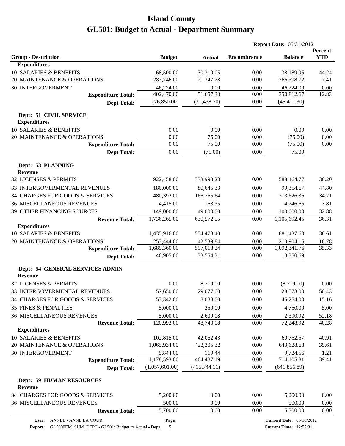|                                                   |                |               | <b>Report Date: 05/31/2012</b> |                                 |                              |
|---------------------------------------------------|----------------|---------------|--------------------------------|---------------------------------|------------------------------|
| <b>Group - Description</b>                        | <b>Budget</b>  | <b>Actual</b> | <b>Encumbrance</b>             | <b>Balance</b>                  | <b>Percent</b><br><b>YTD</b> |
| <b>Expenditures</b>                               |                |               |                                |                                 |                              |
| 10 SALARIES & BENEFITS                            | 68,500.00      | 30,310.05     | 0.00                           | 38,189.95                       | 44.24                        |
| 20 MAINTENANCE & OPERATIONS                       | 287,746.00     | 21,347.28     | 0.00                           | 266,398.72                      | 7.41                         |
| <b>30 INTERGOVERMENT</b>                          | 46,224.00      | 0.00          | 0.00                           | 46,224.00                       | 0.00                         |
| <b>Expenditure Total:</b>                         | 402,470.00     | 51,657.33     | 0.00                           | 350,812.67                      | 12.83                        |
| <b>Dept Total:</b>                                | (76,850.00)    | (31, 438.70)  | 0.00                           | (45, 411.30)                    |                              |
| Dept: 51 CIVIL SERVICE<br><b>Expenditures</b>     |                |               |                                |                                 |                              |
| 10 SALARIES & BENEFITS                            | 0.00           | 0.00          | 0.00                           | 0.00                            | 0.00                         |
| 20 MAINTENANCE & OPERATIONS                       | 0.00           | 75.00         | 0.00                           | (75.00)                         | 0.00                         |
| <b>Expenditure Total:</b>                         | 0.00           | 75.00         | 0.00                           | (75.00)                         | 0.00                         |
| <b>Dept Total:</b>                                | 0.00           | (75.00)       | 0.00                           | 75.00                           |                              |
| Dept: 53 PLANNING<br><b>Revenue</b>               |                |               |                                |                                 |                              |
| 32 LICENSES & PERMITS                             | 922,458.00     | 333,993.23    | 0.00                           | 588,464.77                      | 36.20                        |
| 33 INTERGOVERMENTAL REVENUES                      | 180,000.00     | 80,645.33     | 0.00                           | 99,354.67                       | 44.80                        |
| 34 CHARGES FOR GOODS & SERVICES                   | 480,392.00     | 166,765.64    | 0.00                           | 313,626.36                      | 34.71                        |
| <b>36 MISCELLANEOUS REVENUES</b>                  | 4,415.00       | 168.35        | 0.00                           | 4,246.65                        | 3.81                         |
| 39 OTHER FINANCING SOURCES                        | 149,000.00     | 49,000.00     | 0.00                           | 100,000.00                      | 32.88                        |
| <b>Revenue Total:</b>                             | 1,736,265.00   | 630,572.55    | 0.00                           | 1,105,692.45                    | 36.31                        |
| <b>Expenditures</b>                               |                |               |                                |                                 |                              |
| <b>10 SALARIES &amp; BENEFITS</b>                 | 1,435,916.00   | 554,478.40    | 0.00                           | 881,437.60                      | 38.61                        |
| 20 MAINTENANCE & OPERATIONS                       | 253,444.00     | 42,539.84     | 0.00                           | 210,904.16                      | 16.78                        |
| <b>Expenditure Total:</b>                         | 1,689,360.00   | 597,018.24    | 0.00                           | 1,092,341.76                    | 35.33                        |
| <b>Dept Total:</b>                                | 46,905.00      | 33,554.31     | 0.00                           | 13,350.69                       |                              |
| Dept: 54 GENERAL SERVICES ADMIN<br><b>Revenue</b> |                |               |                                |                                 |                              |
| 32 LICENSES & PERMITS                             | 0.00           | 8,719.00      | 0.00                           | (8,719.00)                      | 0.00                         |
| 33 INTERGOVERMENTAL REVENUES                      | 57,650.00      | 29,077.00     | 0.00                           | 28,573.00                       | 50.43                        |
| 34 CHARGES FOR GOODS & SERVICES                   | 53,342.00      | 8,088.00      | 0.00                           | 45,254.00                       | 15.16                        |
| <b>35 FINES &amp; PENALTIES</b>                   | 5,000.00       | 250.00        | 0.00                           | 4,750.00                        | 5.00                         |
| <b>36 MISCELLANEOUS REVENUES</b>                  | 5,000.00       | 2,609.08      | 0.00                           | 2,390.92                        | 52.18                        |
| <b>Revenue Total:</b>                             | 120,992.00     | 48,743.08     | 0.00                           | 72,248.92                       | 40.28                        |
| <b>Expenditures</b>                               |                |               |                                |                                 |                              |
| 10 SALARIES & BENEFITS                            | 102,815.00     | 42,062.43     | 0.00                           | 60,752.57                       | 40.91                        |
| 20 MAINTENANCE & OPERATIONS                       | 1,065,934.00   | 422,305.32    | 0.00                           | 643,628.68                      | 39.61                        |
| 30 INTERGOVERMENT                                 | 9,844.00       | 119.44        | 0.00                           | 9,724.56                        | 1.21                         |
| <b>Expenditure Total:</b>                         | 1,178,593.00   | 464,487.19    | 0.00                           | 714,105.81                      | 39.41                        |
| <b>Dept Total:</b>                                | (1,057,601.00) | (415,744.11)  | $0.00\,$                       | (641, 856.89)                   |                              |
| <b>Dept: 59 HUMAN RESOURCES</b><br><b>Revenue</b> |                |               |                                |                                 |                              |
| 34 CHARGES FOR GOODS & SERVICES                   | 5,200.00       | 0.00          | 0.00                           | 5,200.00                        | 0.00                         |
| <b>36 MISCELLANEOUS REVENUES</b>                  | 500.00         | 0.00          | 0.00                           | 500.00                          | 0.00                         |
| <b>Revenue Total:</b>                             | 5,700.00       | 0.00          | 0.00                           | 5,700.00                        | 0.00                         |
| ANNEL - ANNE LA COUR<br>User:                     | Page           |               |                                | <b>Current Date: 06/18/2012</b> |                              |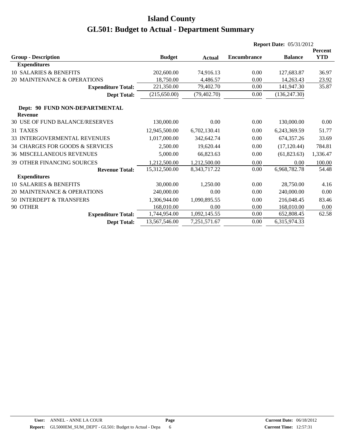|                                                  |               |                 |                    | <b>Report Date: 05/31/2012</b> |                |
|--------------------------------------------------|---------------|-----------------|--------------------|--------------------------------|----------------|
|                                                  |               |                 |                    |                                | <b>Percent</b> |
| <b>Group - Description</b>                       | <b>Budget</b> | Actual          | <b>Encumbrance</b> | <b>Balance</b>                 | <b>YTD</b>     |
| <b>Expenditures</b>                              |               |                 |                    |                                |                |
| <b>10 SALARIES &amp; BENEFITS</b>                | 202,600.00    | 74,916.13       | 0.00               | 127,683.87                     | 36.97          |
| 20 MAINTENANCE & OPERATIONS                      | 18,750.00     | 4.486.57        | 0.00               | 14,263.43                      | 23.92          |
| <b>Expenditure Total:</b>                        | 221,350.00    | 79,402.70       | 0.00               | 141,947.30                     | 35.87          |
| <b>Dept Total:</b>                               | (215, 650.00) | (79, 402.70)    | 0.00               | (136, 247.30)                  |                |
| Dept: 90 FUND NON-DEPARTMENTAL<br><b>Revenue</b> |               |                 |                    |                                |                |
| 30 USE OF FUND BALANCE/RESERVES                  | 130,000.00    | 0.00            | 0.00               | 130,000.00                     | 0.00           |
| 31 TAXES                                         | 12,945,500.00 | 6,702,130.41    | 0.00               | 6,243,369.59                   | 51.77          |
| 33 INTERGOVERMENTAL REVENUES                     | 1,017,000.00  | 342,642.74      | 0.00               | 674,357.26                     | 33.69          |
| 34 CHARGES FOR GOODS & SERVICES                  | 2,500.00      | 19,620.44       | 0.00               | (17, 120.44)                   | 784.81         |
| <b>36 MISCELLANEOUS REVENUES</b>                 | 5,000.00      | 66,823.63       | 0.00               | (61, 823.63)                   | 1,336.47       |
| <b>39 OTHER FINANCING SOURCES</b>                | 1,212,500.00  | 1,212,500.00    | 0.00               | 0.00                           | 100.00         |
| <b>Revenue Total:</b>                            | 15,312,500.00 | 8, 343, 717. 22 | 0.00               | 6,968,782.78                   | 54.48          |
| <b>Expenditures</b>                              |               |                 |                    |                                |                |
| 10 SALARIES & BENEFITS                           | 30,000.00     | 1,250.00        | 0.00               | 28,750.00                      | 4.16           |
| 20 MAINTENANCE & OPERATIONS                      | 240,000.00    | 0.00            | 0.00               | 240,000.00                     | 0.00           |
| 50 INTERDEPT & TRANSFERS                         | 1,306,944.00  | 1,090,895.55    | 0.00               | 216,048.45                     | 83.46          |
| 90 OTHER                                         | 168,010.00    | 0.00            | 0.00               | 168,010.00                     | 0.00           |
| <b>Expenditure Total:</b>                        | 1,744,954.00  | 1,092,145.55    | 0.00               | 652,808.45                     | 62.58          |
| <b>Dept Total:</b>                               | 13,567,546.00 | 7,251,571.67    | 0.00               | 6,315,974.33                   |                |
|                                                  |               |                 |                    |                                |                |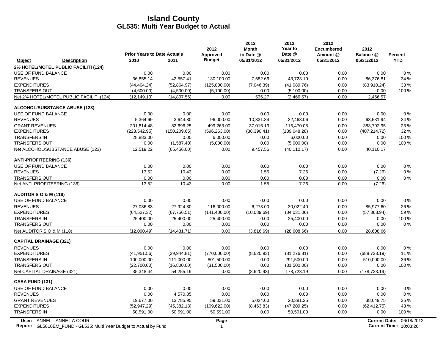|                                                                                                  | <b>Prior Years to Date Actuals</b> |               | 2012<br>Approved     | 2012<br><b>Month</b><br>to Date @ | 2012<br>Year to<br>Date @ | 2012<br><b>Encumbered</b><br>Amount @ | 2012<br>Balance @ | Percent                                            |
|--------------------------------------------------------------------------------------------------|------------------------------------|---------------|----------------------|-----------------------------------|---------------------------|---------------------------------------|-------------------|----------------------------------------------------|
| Object<br><b>Description</b>                                                                     | 2010                               | 2011          | <b>Budget</b>        | 05/31/2012                        | 05/31/2012                | 05/31/2012                            | 05/31/2012        | <b>YTD</b>                                         |
| 2% HOTEL/MOTEL PUBLIC FACILITI (124)                                                             |                                    |               |                      |                                   |                           |                                       |                   |                                                    |
| USE OF FUND BALANCE                                                                              | 0.00                               | 0.00          | 0.00                 | 0.00                              | 0.00                      | 0.00                                  | 0.00              | $0\%$                                              |
| <b>REVENUES</b>                                                                                  | 36,855.14                          | 42,557.41     | 130,100.00           | 7,582.66                          | 43,723.19                 | 0.00                                  | 86,376.81         | 34 %                                               |
| <b>EXPENDITURES</b>                                                                              | (44, 404.24)                       | (52,864.97)   | (125,000.00)         | (7,046.39)                        | (41,089.76)               | 0.00                                  | (83,910.24)       | 33 %                                               |
| <b>TRANSFERS OUT</b>                                                                             | (4,600.00)                         | (4,500.00)    | (5,100.00)           | 0.00                              | (5,100.00)                | 0.00                                  | 0.00              | 100 %                                              |
| Net 2% HOTEL/MOTEL PUBLIC FACILITI (124)                                                         | (12, 149.10)                       | (14, 807.56)  | 0.00                 | 536.27                            | (2,466.57)                | 0.00                                  | 2,466.57          |                                                    |
| <b>ALCOHOL/SUBSTANCE ABUSE (123)</b>                                                             |                                    |               |                      |                                   |                           |                                       |                   |                                                    |
| USE OF FUND BALANCE                                                                              | 0.00                               | 0.00          | 0.00                 | 0.00                              | 0.00                      | 0.00                                  | 0.00              | $0\%$                                              |
| <b>REVENUES</b>                                                                                  | 5,364.69                           | 3,644.80      | 96,000.00            | 10,831.84                         | 32,468.06                 | 0.00                                  | 63,531.94         | 34 %                                               |
| <b>GRANT REVENUES</b>                                                                            | 201,814.48                         | 82,696.25     | 499,263.00           | 37,016.13                         | 115,470.05                | 0.00                                  | 383,792.95        | 23 %                                               |
| <b>EXPENDITURES</b>                                                                              | (223, 542.95)                      | (150, 209.65) | (596, 263.00)        | (38, 390.41)                      | (189, 048.28)             | 0.00                                  | (407, 214.72)     | 32 %                                               |
| <b>TRANSFERS IN</b>                                                                              | 28,883.00                          | 0.00          | 6,000.00             | 0.00                              | 6,000.00                  | 0.00                                  | 0.00              | 100 %                                              |
| <b>TRANSFERS OUT</b>                                                                             | 0.00                               | (1,587.40)    | (5,000.00)           | 0.00                              | (5,000.00)                | 0.00                                  | 0.00              | 100 %                                              |
| Net ALCOHOL/SUBSTANCE ABUSE (123)                                                                | 12,519.22                          | (65, 456.00)  | 0.00                 | 9,457.56                          | (40, 110.17)              | 0.00                                  | 40,110.17         |                                                    |
| <b>ANTI-PROFITEERING (136)</b>                                                                   |                                    |               |                      |                                   |                           |                                       |                   |                                                    |
| USE OF FUND BALANCE                                                                              | 0.00                               | 0.00          | 0.00                 | 0.00                              | 0.00                      | 0.00                                  | 0.00              | 0%                                                 |
| <b>REVENUES</b>                                                                                  | 13.52                              | 10.43         | 0.00                 | 1.55                              | 7.26                      | 0.00                                  | (7.26)            | 0%                                                 |
| <b>TRANSFERS OUT</b>                                                                             | 0.00                               | 0.00          | 0.00                 | 0.00                              | 0.00                      | 0.00                                  | 0.00              | 0%                                                 |
| Net ANTI-PROFITEERING (136)                                                                      | 13.52                              | 10.43         | 0.00                 | 1.55                              | 7.26                      | 0.00                                  | (7.26)            |                                                    |
| <b>AUDITOR'S O &amp; M (118)</b>                                                                 |                                    |               |                      |                                   |                           |                                       |                   |                                                    |
| USE OF FUND BALANCE                                                                              | 0.00                               | 0.00          | 0.00                 | 0.00                              | 0.00                      | 0.00                                  | 0.00              | 0%                                                 |
| <b>REVENUES</b>                                                                                  | 27,036.83                          | 27,924.80     | 116,000.00           | 6,273.00                          | 30,022.40                 | 0.00                                  | 85,977.60         | 26 %                                               |
| <b>EXPENDITURES</b>                                                                              | (64, 527.32)                       | (67, 756.51)  | (141, 400.00)        | (10,089.69)                       | (84,031.06)               | 0.00                                  | (57, 368.94)      | 59 %                                               |
| <b>TRANSFERS IN</b>                                                                              | 25,400.00                          | 25,400.00     | 25,400.00            | 0.00                              | 25,400.00                 | 0.00                                  | 0.00              | 100 %                                              |
| <b>TRANSFERS OUT</b>                                                                             | 0.00                               | 0.00          | 0.00                 | 0.00                              | 0.00                      | 0.00                                  | 0.00              | 0%                                                 |
| Net AUDITOR'S O & M (118)                                                                        | (12,090.49)                        | (14, 431.71)  | 0.00                 | (3,816.69)                        | (28,608.66)               | 0.00                                  | 28,608.66         |                                                    |
| <b>CAPITAL DRAINAGE (321)</b>                                                                    |                                    |               |                      |                                   |                           |                                       |                   |                                                    |
| <b>REVENUES</b>                                                                                  | 0.00                               | 0.00          | 0.00                 | 0.00                              | 0.00                      | 0.00                                  | 0.00              | 0%                                                 |
| <b>EXPENDITURES</b>                                                                              | (41, 951.56)                       | (39, 944.81)  | (770,000.00)         | (8,620.93)                        | (81, 276.81)              | 0.00                                  | (688, 723.19)     | 11 %                                               |
| <b>TRANSFERS IN</b>                                                                              | 100,000.00                         | 111,000.00    | 801,500.00           | 0.00                              | 291,500.00                | 0.00                                  | 510,000.00        | 36 %                                               |
| <b>TRANSFERS OUT</b>                                                                             | (22,700.00)                        | (16,800.00)   | (31,500.00)          | 0.00                              | (31,500.00)               | 0.00                                  | 0.00              | 100 %                                              |
| Net CAPITAL DRAINAGE (321)                                                                       | 35,348.44                          | 54,255.19     | 0.00                 | (8,620.93)                        | 178,723.19                | 0.00                                  | (178, 723.19)     |                                                    |
| <b>CASA FUND (131)</b>                                                                           |                                    |               |                      |                                   |                           |                                       |                   |                                                    |
| USE OF FUND BALANCE                                                                              | 0.00                               | 0.00          | 0.00                 | 0.00                              | 0.00                      | 0.00                                  | 0.00              | 0%                                                 |
| <b>REVENUES</b>                                                                                  | 0.00                               | 4,570.85      | 0.00                 | 0.00                              | 0.00                      | 0.00                                  | 0.00              | 0%                                                 |
| <b>GRANT REVENUES</b>                                                                            | 19,677.00                          | 13,785.95     | 59,031.00            | 5,024.00                          | 20,381.25                 | 0.00                                  | 38,649.75         | 35 %                                               |
| <b>EXPENDITURES</b>                                                                              | (52, 947.29)                       | (45, 382.18)  | (109, 622.00)        | (8,463.83)                        | (47, 209.25)              | 0.00                                  | (62, 412.75)      | 43 %                                               |
| <b>TRANSFERS IN</b>                                                                              | 50,591.00                          | 50,591.00     | 50,591.00            | 0.00                              | 50,591.00                 | 0.00                                  | 0.00              | 100 %                                              |
| User: ANNEL - ANNE LA COUR<br>Report: GL5010EM_FUND - GL535: Multi Year Budget to Actual by Fund |                                    |               | Page<br>$\mathbf{1}$ |                                   |                           |                                       |                   | Current Date: 06/18/2012<br>Current Time: 10:03:26 |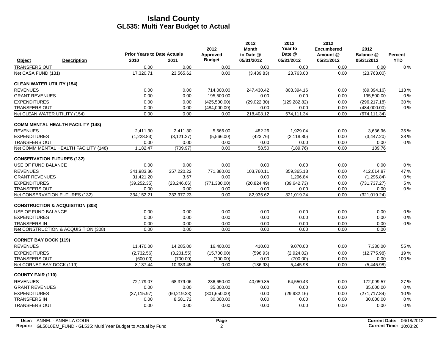|                                   |                                             | <b>Prior Years to Date Actuals</b> |              | 2012<br>Approved | 2012<br><b>Month</b><br>to Date @ | 2012<br>Year to<br>Date @ | 2012<br><b>Encumbered</b><br>Amount @ | 2012<br>Balance @ | Percent    |
|-----------------------------------|---------------------------------------------|------------------------------------|--------------|------------------|-----------------------------------|---------------------------|---------------------------------------|-------------------|------------|
| Object                            | <b>Description</b>                          | 2010                               | 2011         | <b>Budget</b>    | 05/31/2012                        | 05/31/2012                | 05/31/2012                            | 05/31/2012        | <b>YTD</b> |
| <b>TRANSFERS OUT</b>              |                                             | 0.00                               | 0.00         | 0.00             | 0.00                              | 0.00                      | 0.00                                  | 0.00              | $0\%$      |
| Net CASA FUND (131)               |                                             | 17,320.71                          | 23,565.62    | 0.00             | (3,439.83)                        | 23.763.00                 | 0.00                                  | (23,763.00)       |            |
| <b>CLEAN WATER UTILITY (154)</b>  |                                             |                                    |              |                  |                                   |                           |                                       |                   |            |
| <b>REVENUES</b>                   |                                             | 0.00                               | 0.00         | 714,000.00       | 247,430.42                        | 803,394.16                | 0.00                                  | (89, 394.16)      | 113 %      |
| <b>GRANT REVENUES</b>             |                                             | 0.00                               | 0.00         | 195,500.00       | 0.00                              | 0.00                      | 0.00                                  | 195,500.00        | 0%         |
| <b>EXPENDITURES</b>               |                                             | 0.00                               | 0.00         | (425,500.00)     | (29,022.30)                       | (129, 282.82)             | 0.00                                  | (296, 217.18)     | 30 %       |
| <b>TRANSFERS OUT</b>              |                                             | 0.00                               | 0.00         | (484,000.00)     | 0.00                              | 0.00                      | 0.00                                  | (484,000.00)      | $0\%$      |
| Net CLEAN WATER UTILITY (154)     |                                             | 0.00                               | 0.00         | 0.00             | 218,408.12                        | 674,111.34                | 0.00                                  | (674, 111.34)     |            |
|                                   | <b>COMM MENTAL HEALTH FACILITY (148)</b>    |                                    |              |                  |                                   |                           |                                       |                   |            |
| <b>REVENUES</b>                   |                                             | 2,411.30                           | 2,411.30     | 5,566.00         | 482.26                            | 1,929.04                  | 0.00                                  | 3,636.96          | 35 %       |
| <b>EXPENDITURES</b>               |                                             | (1,228.83)                         | (3, 121.27)  | (5,566.00)       | (423.76)                          | (2, 118.80)               | 0.00                                  | (3,447.20)        | 38 %       |
| <b>TRANSFERS OUT</b>              |                                             | 0.00                               | 0.00         | 0.00             | 0.00                              | 0.00                      | 0.00                                  | 0.00              | 0%         |
|                                   | Net COMM MENTAL HEALTH FACILITY (148)       | 1,182.47                           | (709.97)     | 0.00             | 58.50                             | (189.76)                  | 0.00                                  | 189.76            |            |
| <b>CONSERVATION FUTURES (132)</b> |                                             |                                    |              |                  |                                   |                           |                                       |                   |            |
| USE OF FUND BALANCE               |                                             | 0.00                               | 0.00         | 0.00             | 0.00                              | 0.00                      | 0.00                                  | 0.00              | 0%         |
| <b>REVENUES</b>                   |                                             | 341,983.36                         | 357,220.22   | 771,380.00       | 103,760.11                        | 359,365.13                | 0.00                                  | 412.014.87        | 47 %       |
| <b>GRANT REVENUES</b>             |                                             | 31,421.20                          | 3.67         | 0.00             | 0.00                              | 1,296.84                  | 0.00                                  | (1, 296.84)       | $0\%$      |
| <b>EXPENDITURES</b>               |                                             | (39, 252.35)                       | (23, 246.66) | (771, 380.00)    | (20, 824.49)                      | (39, 642.73)              | 0.00                                  | (731, 737.27)     | 5 %        |
| <b>TRANSFERS OUT</b>              |                                             | 0.00                               | 0.00         | 0.00             | 0.00                              | 0.00                      | 0.00                                  | 0.00              | $0\%$      |
| Net CONSERVATION FUTURES (132)    |                                             | 334,152.21                         | 333,977.23   | 0.00             | 82,935.62                         | 321,019.24                | 0.00                                  | (321, 019.24)     |            |
|                                   | <b>CONSTRUCTION &amp; ACQUISITION (308)</b> |                                    |              |                  |                                   |                           |                                       |                   |            |
| USE OF FUND BALANCE               |                                             | 0.00                               | 0.00         | 0.00             | 0.00                              | 0.00                      | 0.00                                  | 0.00              | $0\%$      |
| <b>EXPENDITURES</b>               |                                             | 0.00                               | 0.00         | 0.00             | 0.00                              | 0.00                      | 0.00                                  | 0.00              | 0%         |
| <b>TRANSFERS IN</b>               |                                             | 0.00                               | 0.00         | 0.00             | 0.00                              | 0.00                      | 0.00                                  | 0.00              | $0\%$      |
|                                   | Net CONSTRUCTION & ACQUISITION (308)        | 0.00                               | 0.00         | 0.00             | 0.00                              | 0.00                      | 0.00                                  | 0.00              |            |
| <b>CORNET BAY DOCK (119)</b>      |                                             |                                    |              |                  |                                   |                           |                                       |                   |            |
| <b>REVENUES</b>                   |                                             | 11,470.00                          | 14,285.00    | 16,400.00        | 410.00                            | 9,070.00                  | 0.00                                  | 7,330.00          | 55 %       |
| <b>EXPENDITURES</b>               |                                             | (2,732.56)                         | (3,201.55)   | (15,700.00)      | (596.93)                          | (2,924.02)                | 0.00                                  | (12, 775.98)      | 19%        |
| <b>TRANSFERS OUT</b>              |                                             | (600.00)                           | (700.00)     | (700.00)         | 0.00                              | (700.00)                  | 0.00                                  | 0.00              | 100 %      |
| Net CORNET BAY DOCK (119)         |                                             | 8,137.44                           | 10,383.45    | 0.00             | (186.93)                          | 5,445.98                  | 0.00                                  | (5,445.98)        |            |
| <b>COUNTY FAIR (110)</b>          |                                             |                                    |              |                  |                                   |                           |                                       |                   |            |
| <b>REVENUES</b>                   |                                             | 72,179.07                          | 68,379.06    | 236,650.00       | 40,059.85                         | 64,550.43                 | 0.00                                  | 172,099.57        | 27 %       |
| <b>GRANT REVENUES</b>             |                                             | 0.00                               | 0.00         | 35,000.00        | 0.00                              | 0.00                      | 0.00                                  | 35,000.00         | 0%         |
| <b>EXPENDITURES</b>               |                                             | (37, 115.97)                       | (60, 219.33) | (301,650.00)     | 0.00                              | (29, 932, 16)             | 0.00                                  | (271, 717.84)     | 10 %       |
| <b>TRANSFERS IN</b>               |                                             | 0.00                               | 8,581.72     | 30,000.00        | 0.00                              | 0.00                      | 0.00                                  | 30,000.00         | $0\%$      |
| <b>TRANSFERS OUT</b>              |                                             | 0.00                               | 0.00         | 0.00             | 0.00                              | 0.00                      | 0.00                                  | 0.00              | 0%         |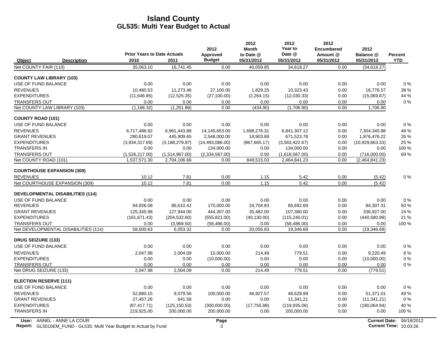|                                               | <b>Prior Years to Date Actuals</b> |                                | 2012                      | 2012<br><b>Month</b><br>to Date @ | 2012<br>Year to<br>Date @      | 2012<br><b>Encumbered</b><br>Amount @ | 2012<br>Balance @              | <b>Percent</b> |
|-----------------------------------------------|------------------------------------|--------------------------------|---------------------------|-----------------------------------|--------------------------------|---------------------------------------|--------------------------------|----------------|
| Object<br><b>Description</b>                  | 2010                               | 2011                           | Approved<br><b>Budget</b> | 05/31/2012                        | 05/31/2012                     | 05/31/2012                            | 05/31/2012                     | <b>YTD</b>     |
| Net COUNTY FAIR (110)                         | 35.063.10                          | 16.741.45                      | 0.00                      | 40.059.85                         | 34.618.27                      | 0.00                                  | (34, 618.27)                   |                |
| <b>COUNTY LAW LIBRARY (103)</b>               |                                    |                                |                           |                                   |                                |                                       |                                |                |
| USE OF FUND BALANCE                           | 0.00                               | 0.00                           | 0.00                      | 0.00                              | 0.00                           | 0.00                                  | 0.00                           | 0%             |
| <b>REVENUES</b>                               | 10.480.53                          | 11.273.46                      | 27.100.00                 | 1.829.25                          | 10.323.43                      | 0.00                                  | 16.776.57                      | 38 %           |
| <b>EXPENDITURES</b>                           | (11,646.85)                        | (12, 525.35)                   | (27, 100.00)              | (2,264.15)                        | (12,030.33)                    | 0.00                                  | (15,069.67)                    | 44 %           |
| <b>TRANSFERS OUT</b>                          | 0.00                               | 0.00                           | 0.00                      | 0.00                              | 0.00                           | 0.00                                  | 0.00                           | 0%             |
| Net COUNTY LAW LIBRARY (103)                  | (1, 166.32)                        | (1,251.89)                     | 0.00                      | (434.90)                          | (1,706.90)                     | 0.00                                  | 1,706.90                       |                |
| <b>COUNTY ROAD (101)</b>                      |                                    |                                |                           |                                   |                                |                                       |                                |                |
| USE OF FUND BALANCE                           | 0.00                               | 0.00                           | 0.00                      | 0.00                              | 0.00                           | 0.00                                  | 0.00                           | 0%             |
| <b>REVENUES</b>                               | 6,717,486.92                       | 6,961,443.88                   | 14,145,653.00             | 1,698,276.31                      | 6,841,307.12                   | 0.00                                  | 7,304,345.88                   | 48 %           |
| <b>GRANT REVENUES</b>                         | 280,619.07                         | 445,909.65                     | 2,548,000.00              | 18,903.89                         | 671,523.78                     | 0.00                                  | 1,876,476.22                   | 26 %           |
| <b>EXPENDITURES</b><br><b>TRANSFERS IN</b>    | (3,934,317.69)                     | (3, 188, 279.87)               | (14, 493, 086.00)         | (867, 665.17)                     | (3,563,422.67)                 | 0.00                                  | (10,929,663.33)                | 25 %           |
|                                               | 0.00                               | 0.00                           | 134,000.00                | 0.00                              | 134,000.00                     | 0.00                                  | 0.00                           | 100 %          |
| <b>TRANSFERS OUT</b><br>Net COUNTY ROAD (101) | (1,526,217.00)<br>1,537,571.30     | (1,514,967.00)<br>2,704,106.66 | (2,334,567.00)<br>0.00    | 0.00<br>849,515.03                | (1,618,567.00)<br>2,464,841.23 | 0.00<br>0.00                          | (716,000.00)<br>(2,464,841.23) | 69%            |
|                                               |                                    |                                |                           |                                   |                                |                                       |                                |                |
| <b>COURTHOUSE EXPANSION (309)</b>             |                                    |                                |                           |                                   |                                |                                       |                                |                |
| <b>REVENUES</b>                               | 10.12                              | 7.81                           | 0.00                      | 1.15                              | 5.42                           | 0.00                                  | (5.42)                         | $0\%$          |
| Net COURTHOUSE EXPANSION (309)                | 10.12                              | 7.81                           | 0.00                      | 1.15                              | 5.42                           | 0.00                                  | (5.42)                         |                |
| <b>DEVELOPMENTAL DISABILITIES (114)</b>       |                                    |                                |                           |                                   |                                |                                       |                                |                |
| USE OF FUND BALANCE                           | 0.00                               | 0.00                           | 0.00                      | 0.00                              | 0.00                           | 0.00                                  | 0.00                           | 0%             |
| <b>REVENUES</b>                               | 94,926.08                          | 86,610.42                      | 170,000.00                | 24,704.83                         | 85,692.69                      | 0.00                                  | 84,307.31                      | 50 %           |
| <b>GRANT REVENUES</b>                         | 125.345.98                         | 127,944.00                     | 444,307.00                | 35.482.00                         | 107.380.00                     | 0.00                                  | 336,927.00                     | 24 %           |
| <b>EXPENDITURES</b>                           | (161, 671.43)                      | (204, 532.60)                  | (555, 821.00)             | (40, 130.00)                      | (115, 240.01)                  | 0.00                                  | (440, 580.99)                  | 21 %           |
| <b>TRANSFERS OUT</b>                          | 0.00                               | (3,968.50)                     | (58, 486.00)              | 0.00                              | (58, 486.00)                   | 0.00                                  | 0.00                           | 100 %          |
| Net DEVELOPMENTAL DISABILITIES (114)          | 58,600.63                          | 6,053.32                       | 0.00                      | 20,056.83                         | 19,346.68                      | 0.00                                  | (19, 346.68)                   |                |
| <b>DRUG SEIZURE (133)</b>                     |                                    |                                |                           |                                   |                                |                                       |                                |                |
| <b>USE OF FUND BALANCE</b>                    | 0.00                               | 0.00                           | 0.00                      | 0.00                              | 0.00                           | 0.00                                  | 0.00                           | 0%             |
| <b>REVENUES</b>                               | 2,047.98                           | 2,004.09                       | 10,000.00                 | 214.49                            | 779.51                         | 0.00                                  | 9,220.49                       | 8%             |
| <b>EXPENDITURES</b>                           | 0.00                               | 0.00                           | (10,000.00)               | 0.00                              | 0.00                           | 0.00                                  | (10,000.00)                    | 0%             |
| <b>TRANSFERS OUT</b>                          | 0.00                               | 0.00                           | 0.00                      | 0.00                              | 0.00                           | 0.00                                  | 0.00                           | 0%             |
| Net DRUG SEIZURE (133)                        | 2,047.98                           | 2.004.09                       | 0.00                      | 214.49                            | 779.51                         | 0.00                                  | (779.51)                       |                |
| <b>ELECTION RESERVE (111)</b>                 |                                    |                                |                           |                                   |                                |                                       |                                |                |
| USE OF FUND BALANCE                           | 0.00                               | 0.00                           | 0.00                      | 0.00                              | 0.00                           | 0.00                                  | 0.00                           | $0\%$          |
| <b>REVENUES</b>                               | 52.880.15                          | 9,079.56                       | 100,000.00                | 46.927.57                         | 48.628.99                      | 0.00                                  | 51.371.01                      | 49 %           |
| <b>GRANT REVENUES</b>                         | 27,457.26                          | 641.58                         | 0.00                      | 0.00                              | 11,341.21                      | 0.00                                  | (11, 341.21)                   | $0\%$          |
| <b>EXPENDITURES</b>                           | (87, 417.71)                       | (125, 150.53)                  | (300,000.00)              | (17, 755.88)                      | (119.935.06)                   | 0.00                                  | (180,064.94)                   | 40 %           |
| <b>TRANSFERS IN</b>                           | 219,925.00                         | 200,000.00                     | 200,000.00                | 0.00                              | 200,000.00                     | 0.00                                  | 0.00                           | 100 %          |
|                                               |                                    |                                |                           |                                   |                                |                                       |                                |                |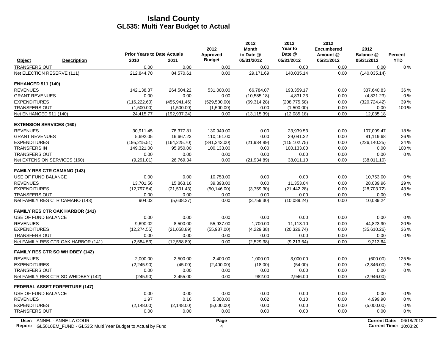|                                 |                                        | <b>Prior Years to Date Actuals</b> |               | 2012<br>Approved | 2012<br><b>Month</b><br>to Date @ | 2012<br>Year to<br>Date @ | 2012<br><b>Encumbered</b><br>Amount @ | 2012<br>Balance @    | <b>Percent</b> |
|---------------------------------|----------------------------------------|------------------------------------|---------------|------------------|-----------------------------------|---------------------------|---------------------------------------|----------------------|----------------|
| Object                          | <b>Description</b>                     | 2010                               | 2011          | <b>Budget</b>    | 05/31/2012                        | 05/31/2012                | 05/31/2012                            | 05/31/2012           | <b>YTD</b>     |
| <b>TRANSFERS OUT</b>            |                                        | 0.00                               | 0.00          | 0.00             | 0.00                              | 0.00                      | 0.00                                  | 0.00                 | $0\%$          |
| Net ELECTION RESERVE (111)      |                                        | 212,844.70                         | 84,570.61     | 0.00             | 29,171.69                         | 140,035.14                | 0.00                                  | (140.035.14)         |                |
| <b>ENHANCED 911 (140)</b>       |                                        |                                    |               |                  |                                   |                           |                                       |                      |                |
| <b>REVENUES</b>                 |                                        | 142,138.37                         | 264,504.22    | 531,000.00       | 66.784.07                         | 193,359.17                | 0.00                                  | 337.640.83           | 36 %           |
| <b>GRANT REVENUES</b>           |                                        | 0.00                               | 0.00          | 0.00             | (10, 585.18)                      | 4,831.23                  | 0.00                                  | (4,831.23)           | $0\%$          |
| <b>EXPENDITURES</b>             |                                        | (116, 222.60)                      | (455, 941.46) | (529, 500.00)    | (69, 314.28)                      | (208, 775.58)             | 0.00                                  | (320, 724.42)        | 39 %           |
| <b>TRANSFERS OUT</b>            |                                        | (1,500.00)                         | (1,500.00)    | (1,500.00)       | 0.00                              | (1,500.00)                | 0.00                                  | 0.00                 | $100\%$        |
| Net ENHANCED 911 (140)          |                                        | 24,415.77                          | (192, 937.24) | 0.00             | (13, 115.39)                      | (12,085.18)               | 0.00                                  | 12,085.18            |                |
| <b>EXTENSION SERVICES (160)</b> |                                        |                                    |               |                  |                                   |                           |                                       |                      |                |
| <b>REVENUES</b>                 |                                        | 30,911.45                          | 78,377.81     | 130,949.00       | 0.00                              | 23,939.53                 | 0.00                                  | 107,009.47           | 18%            |
| <b>GRANT REVENUES</b>           |                                        | 5,692.05                           | 16,667.23     | 110,161.00       | 0.00                              | 29,041.32                 | 0.00                                  | 81,119.68            | 26 %           |
| <b>EXPENDITURES</b>             |                                        | (195, 215.51)                      | (164, 225.70) | (341, 243.00)    | (21, 934.89)                      | (115, 102.75)             | 0.00                                  | (226, 140.25)        | 34 %           |
| <b>TRANSFERS IN</b>             |                                        | 149,321.00                         | 95,950.00     | 100,133.00       | 0.00                              | 100,133.00                | 0.00                                  | 0.00                 | 100 %          |
| <b>TRANSFERS OUT</b>            |                                        | 0.00                               | 0.00          | 0.00             | 0.00                              | 0.00                      | 0.00                                  | 0.00                 | $0\%$          |
| Net EXTENSION SERVICES (160)    |                                        | (9,291.01)                         | 26,769.34     | 0.00             | (21, 934.89)                      | 38,011.10                 | 0.00                                  | (38,011.10)          |                |
|                                 | <b>FAMILY RES CTR CAMANO (143)</b>     |                                    |               |                  |                                   |                           |                                       |                      |                |
| USE OF FUND BALANCE             |                                        | 0.00                               | 0.00          | 10,753.00        | 0.00                              | 0.00                      | 0.00                                  | 10,753.00            | $0\%$          |
| <b>REVENUES</b>                 |                                        | 13,701.56                          | 15,863.16     | 39,393.00        | 0.00                              | 11,353.04                 | 0.00                                  | 28,039.96            | 29 %           |
| <b>EXPENDITURES</b>             |                                        | (12,797.54)                        | (21, 501.43)  | (50, 146.00)     | (3,759.30)                        | (21, 442.28)              | 0.00                                  | (28,703.72)          | 43 %           |
| <b>TRANSFERS OUT</b>            |                                        | 0.00                               | 0.00          | 0.00             | 0.00                              | 0.00                      | 0.00                                  | 0.00                 | $0\%$          |
|                                 | Net FAMILY RES CTR CAMANO (143)        | 904.02                             | (5,638.27)    | 0.00             | (3,759.30)                        | (10,089.24)               | 0.00                                  | 10,089.24            |                |
|                                 | <b>FAMILY RES CTR OAK HARBOR (141)</b> |                                    |               |                  |                                   |                           |                                       |                      |                |
| USE OF FUND BALANCE             |                                        | 0.00                               | 0.00          | 0.00             | 0.00                              | 0.00                      | 0.00                                  | 0.00                 | $0\%$          |
| <b>REVENUES</b>                 |                                        | 9.690.02                           | 8.500.00      | 55.937.00        | 1.700.00                          | 11.113.10                 | 0.00                                  | 44.823.90            | 20 %           |
| <b>EXPENDITURES</b>             |                                        | (12, 274.55)                       | (21,058.89)   | (55, 937.00)     | (4,229.38)                        | (20, 326.74)              | 0.00                                  | (35,610.26)          | 36 %           |
| <b>TRANSFERS OUT</b>            |                                        | 0.00                               | 0.00          | 0.00             | 0.00                              | 0.00                      | 0.00                                  | 0.00                 | $0\%$          |
|                                 | Net FAMILY RES CTR OAK HARBOR (141)    | (2,584.53)                         | (12, 558.89)  | 0.00             | (2,529.38)                        | (9,213.64)                | 0.00                                  | 9,213.64             |                |
|                                 | <b>FAMILY RES CTR SO WHIDBEY (142)</b> |                                    |               |                  |                                   |                           |                                       |                      |                |
| <b>REVENUES</b>                 |                                        | 2,000.00                           | 2,500.00      | 2,400.00         | 1,000.00                          | 3,000.00                  | 0.00                                  | (600.00)             | 125 %          |
| <b>EXPENDITURES</b>             |                                        | (2, 245.90)                        | (45.00)       | (2,400.00)       | (18.00)                           | (54.00)                   | 0.00                                  | (2,346.00)           | 2%             |
| <b>TRANSFERS OUT</b>            |                                        | 0.00                               | 0.00          | 0.00             | 0.00                              | 0.00                      | 0.00                                  | 0.00                 | $0\%$          |
|                                 | Net FAMILY RES CTR SO WHIDBEY (142)    | (245.90)                           | 2,455.00      | 0.00             | 982.00                            | 2,946.00                  | 0.00                                  | (2,946.00)           |                |
|                                 | <b>FEDERAL ASSET FORFEITURE (147)</b>  |                                    |               |                  |                                   |                           |                                       |                      |                |
| USE OF FUND BALANCE             |                                        | 0.00                               | 0.00          | 0.00             | 0.00                              | 0.00                      | 0.00                                  | 0.00                 | $0\%$          |
| <b>REVENUES</b>                 |                                        | 1.97                               | 0.16          | 5,000.00         | 0.02                              | 0.10                      | 0.00                                  | 4,999.90             | $0\%$          |
| <b>EXPENDITURES</b>             |                                        | (2, 148.00)                        | (2, 148.00)   | (5,000.00)       | 0.00                              | 0.00                      | 0.00                                  | (5,000.00)           | $0\%$          |
| <b>TRANSFERS OUT</b>            |                                        | 0.00                               | 0.00          | 0.00             | 0.00                              | 0.00                      | 0.00                                  | 0.00                 | $0\%$          |
|                                 | User: ANNEL - ANNE LA COUR             |                                    |               | Page             |                                   |                           |                                       | <b>Current Date:</b> | 06/18/2        |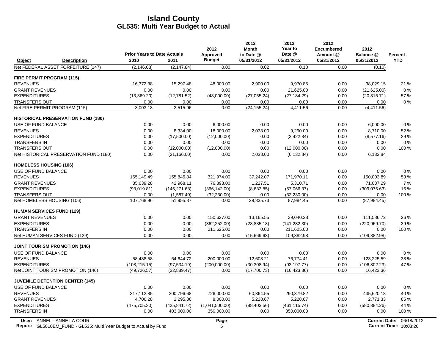|                               |                                                                           | <b>Prior Years to Date Actuals</b> |               | 2012<br>Approved | 2012<br><b>Month</b><br>to Date @ | 2012<br>Year to<br>Date @ | 2012<br>Encumbered<br>Amount @ | 2012<br>Balance @ | Percent                         |
|-------------------------------|---------------------------------------------------------------------------|------------------------------------|---------------|------------------|-----------------------------------|---------------------------|--------------------------------|-------------------|---------------------------------|
| Object                        | <b>Description</b>                                                        | 2010                               | 2011          | <b>Budget</b>    | 05/31/2012                        | 05/31/2012                | 05/31/2012                     | 05/31/2012        | <b>YTD</b>                      |
|                               | Net FEDERAL ASSET FORFEITURE (147)                                        | (2, 146.03)                        | (2, 147.84)   | 0.00             | 0.02                              | 0.10                      | 0.00                           | (0.10)            |                                 |
|                               | FIRE PERMIT PROGRAM (115)                                                 |                                    |               |                  |                                   |                           |                                |                   |                                 |
| <b>REVENUES</b>               |                                                                           | 16,372.38                          | 15,297.48     | 48,000.00        | 2,900.00                          | 9,970.85                  | 0.00                           | 38,029.15         | 21 %                            |
| <b>GRANT REVENUES</b>         |                                                                           | 0.00                               | 0.00          | 0.00             | 0.00                              | 21,625.00                 | 0.00                           | (21,625.00)       | 0%                              |
| <b>EXPENDITURES</b>           |                                                                           | (13,369.20)                        | (12,781.52)   | (48,000.00)      | (27,055.24)                       | (27, 184.29)              | 0.00                           | (20, 815.71)      | 57 %                            |
| <b>TRANSFERS OUT</b>          |                                                                           | 0.00                               | 0.00          | 0.00             | 0.00                              | 0.00                      | 0.00                           | 0.00              | 0%                              |
|                               | Net FIRE PERMIT PROGRAM (115)                                             | 3,003.18                           | 2,515.96      | 0.00             | (24, 155.24)                      | 4,411.56                  | 0.00                           | (4, 411.56)       |                                 |
|                               | <b>HISTORICAL PRESERVATION FUND (180)</b>                                 |                                    |               |                  |                                   |                           |                                |                   |                                 |
| USE OF FUND BALANCE           |                                                                           | 0.00                               | 0.00          | 6,000.00         | 0.00                              | 0.00                      | 0.00                           | 6,000.00          | 0%                              |
| <b>REVENUES</b>               |                                                                           | 0.00                               | 8,334.00      | 18,000.00        | 2,038.00                          | 9,290.00                  | 0.00                           | 8.710.00          | 52%                             |
| <b>EXPENDITURES</b>           |                                                                           | 0.00                               | (17,500.00)   | (12,000.00)      | 0.00                              | (3,422.84)                | 0.00                           | (8,577.16)        | 29 %                            |
| <b>TRANSFERS IN</b>           |                                                                           | 0.00                               | 0.00          | 0.00             | 0.00                              | 0.00                      | 0.00                           | 0.00              | 0%                              |
| <b>TRANSFERS OUT</b>          |                                                                           | 0.00                               | (12,000.00)   | (12,000.00)      | 0.00                              | (12,000.00)               | 0.00                           | 0.00              | 100 %                           |
|                               | Net HISTORICAL PRESERVATION FUND (180)                                    | 0.00                               | (21, 166.00)  | 0.00             | 2.038.00                          | (6, 132.84)               | 0.00                           | 6,132.84          |                                 |
| <b>HOMELESS HOUSING (106)</b> |                                                                           |                                    |               |                  |                                   |                           |                                |                   |                                 |
| USE OF FUND BALANCE           |                                                                           | 0.00                               | 0.00          | 0.00             | 0.00                              | 0.00                      | 0.00                           | 0.00              | 0%                              |
| <b>REVENUES</b>               |                                                                           | 165,149.49                         | 155,846.84    | 321,974.00       | 37,242.07                         | 171,970.11                | 0.00                           | 150,003.89        | 53 %                            |
| <b>GRANT REVENUES</b>         |                                                                           | 35,639.28                          | 42,968.11     | 76,398.00        | 1,227.51                          | 5,310.71                  | 0.00                           | 71,087.29         | 7%                              |
| <b>EXPENDITURES</b>           |                                                                           | (93,019.81)                        | (145, 271.68) | (366, 142.00)    | (8,633.85)                        | (57,066.37)               | 0.00                           | (309,075.63)      | 16 %                            |
| <b>TRANSFERS OUT</b>          |                                                                           | 0.00                               | (1,587.40)    | (32, 230.00)     | 0.00                              | (32, 230.00)              | 0.00                           | 0.00              | 100 %                           |
|                               | Net HOMELESS HOUSING (106)                                                | 107,768.96                         | 51,955.87     | 0.00             | 29,835.73                         | 87,984.45                 | 0.00                           | (87, 984.45)      |                                 |
|                               | <b>HUMAN SERVICES FUND (129)</b>                                          |                                    |               |                  |                                   |                           |                                |                   |                                 |
| <b>GRANT REVENUES</b>         |                                                                           | 0.00                               | 0.00          | 150,627.00       | 13,165.55                         | 39,040.28                 | 0.00                           | 111,586.72        | 26 %                            |
| <b>EXPENDITURES</b>           |                                                                           | 0.00                               | 0.00          | (362, 252.00)    | (28, 835.18)                      | (141, 282.30)             | 0.00                           | (220, 969.70)     | 39 %                            |
| TRANSFERS IN                  |                                                                           | 0.00                               | 0.00          | 211,625.00       | 0.00                              | 211,625.00                | 0.00                           | 0.00              | 100 %                           |
|                               | Net HUMAN SERVICES FUND (129)                                             | 0.00                               | 0.00          | 0.00             | (15,669.63)                       | 109,382.98                | 0.00                           | (109, 382.98)     |                                 |
|                               | <b>JOINT TOURISM PROMOTION (146)</b>                                      |                                    |               |                  |                                   |                           |                                |                   |                                 |
| USE OF FUND BALANCE           |                                                                           | 0.00                               | 0.00          | 0.00             | 0.00                              | 0.00                      | 0.00                           | 0.00              | 0%                              |
| <b>REVENUES</b>               |                                                                           | 58.488.58                          | 64,644.72     | 200,000.00       | 12.608.21                         | 76.774.41                 | 0.00                           | 123,225.59        | 38 %                            |
| <b>EXPENDITURES</b>           |                                                                           | (108, 215.15)                      | (97, 534.19)  | (200,000.00)     | (30, 308.94)                      | (93, 197.77)              | 0.00                           | (106, 802.23)     | 47 %                            |
|                               | Net JOINT TOURISM PROMOTION (146)                                         | (49, 726.57)                       | (32, 889.47)  | 0.00             | (17,700.73)                       | (16, 423.36)              | 0.00                           | 16,423.36         |                                 |
|                               | <b>JUVENILE DETENTION CENTER (145)</b>                                    |                                    |               |                  |                                   |                           |                                |                   |                                 |
| <b>USE OF FUND BALANCE</b>    |                                                                           | 0.00                               | 0.00          | 0.00             | 0.00                              | 0.00                      | 0.00                           | 0.00              | 0%                              |
| <b>REVENUES</b>               |                                                                           | 317,112.85                         | 300,796.68    | 726,000.00       | 60,364.55                         | 290,379.82                | 0.00                           | 435,620.18        | 40 %                            |
| <b>GRANT REVENUES</b>         |                                                                           | 4,706.28                           | 2,295.86      | 8,000.00         | 5,228.67                          | 5,228.67                  | 0.00                           | 2,771.33          | 65 %                            |
| <b>EXPENDITURES</b>           |                                                                           | (475, 705.30)                      | (425, 841.72) | (1,041,500.00)   | (88, 403.56)                      | (461, 115.74)             | 0.00                           | (580, 384.26)     | 44 %                            |
| <b>TRANSFERS IN</b>           |                                                                           | 0.00                               | 403,000.00    | 350,000.00       | 0.00                              | 350,000.00                | 0.00                           | 0.00              | 100 %                           |
|                               | User: ANNEL - ANNE LA COUR                                                |                                    |               | Page             |                                   |                           |                                |                   | <b>Current Date: 06/18/2012</b> |
|                               | <b>Report:</b> GL5010EM_FUND - GL535: Multi Year Budget to Actual by Fund |                                    |               | 5                |                                   |                           |                                |                   | <b>Current Time: 10:03:26</b>   |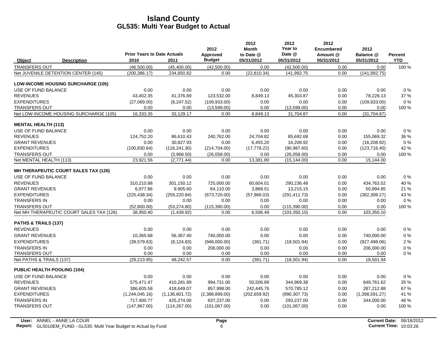|                                             | <b>Prior Years to Date Actuals</b> |                  | 2012<br>Approved | 2012<br><b>Month</b><br>to Date @ | 2012<br>Year to<br>Date @ | 2012<br><b>Encumbered</b><br>Amount @ | 2012<br>Balance @ | Percent    |
|---------------------------------------------|------------------------------------|------------------|------------------|-----------------------------------|---------------------------|---------------------------------------|-------------------|------------|
| Object<br><b>Description</b>                | 2010                               | 2011             | <b>Budget</b>    | 05/31/2012                        | 05/31/2012                | 05/31/2012                            | 05/31/2012        | <b>YTD</b> |
| <b>TRANSFERS OUT</b>                        | (46,500.00)                        | (45, 400.00)     | (42,500.00)      | 0.00                              | (42,500.00)               | 0.00                                  | 0.00              | 100 %      |
| Net JUVENILE DETENTION CENTER (145)         | (200, 386.17)                      | 234,850.82       | 0.00             | (22,810.34)                       | 141,992.75                | 0.00                                  | (141, 992.75)     |            |
| <b>LOW-INCOME HOUSING SURCHARGE (105)</b>   |                                    |                  |                  |                                   |                           |                                       |                   |            |
| USE OF FUND BALANCE                         | 0.00                               | 0.00             | 0.00             | 0.00                              | 0.00                      | 0.00                                  | 0.00              | 0%         |
| <b>REVENUES</b>                             | 43,402.35                          | 41,376.69        | 123,532.00       | 8,849.13                          | 45,303.87                 | 0.00                                  | 78,228.13         | 37 %       |
| <b>EXPENDITURES</b>                         | (27,069.00)                        | (8,247.52)       | (109.933.00)     | 0.00                              | 0.00                      | 0.00                                  | (109, 933.00)     | 0%         |
| <b>TRANSFERS OUT</b>                        | 0.00                               | 0.00             | (13,599.00)      | 0.00                              | (13,599.00)               | 0.00                                  | 0.00              | 100 %      |
| Net LOW-INCOME HOUSING SURCHARGE (105)      | 16,333.35                          | 33,129.17        | 0.00             | 8,849.13                          | 31,704.87                 | 0.00                                  | (31, 704.87)      |            |
| <b>MENTAL HEALTH (113)</b>                  |                                    |                  |                  |                                   |                           |                                       |                   |            |
| USE OF FUND BALANCE                         | 0.00                               | 0.00             | 0.00             | 0.00                              | 0.00                      | 0.00                                  | 0.00              | 0%         |
| <b>REVENUES</b>                             | 124,752.20                         | 86,610.43        | 240,762.00       | 24,704.82                         | 85,692.68                 | 0.00                                  | 155,069.32        | 36 %       |
| <b>GRANT REVENUES</b>                       | 0.00                               | 30.827.93        | 0.00             | 6.455.20                          | 16.208.92                 | 0.00                                  | (16, 208.92)      | $0\%$      |
| <b>EXPENDITURES</b>                         | (100, 830.64)                      | (116, 241.30)    | (214, 704.00)    | (17, 778.22)                      | (90, 987.60)              | 0.00                                  | (123, 716.40)     | 42 %       |
| <b>TRANSFERS OUT</b>                        | 0.00                               | (3,968.50)       | (26,058.00)      | 0.00                              | (26,058.00)               | 0.00                                  | 0.00              | 100 %      |
| Net MENTAL HEALTH (113)                     | 23,921.56                          | (2,771.44)       | 0.00             | 13,381.80                         | (15, 144.00)              | 0.00                                  | 15,144.00         |            |
| <b>MH THERAPEUTIC COURT SALES TAX (126)</b> |                                    |                  |                  |                                   |                           |                                       |                   |            |
| USE OF FUND BALANCE                         | 0.00                               | 0.00             | 0.00             | 0.00                              | 0.00                      | 0.00                                  | 0.00              | 0%         |
| <b>REVENUES</b>                             | 310.210.88                         | 301,150.12       | 725,000.00       | 60.604.01                         | 290,236.48                | 0.00                                  | 434.763.52        | 40 %       |
| <b>GRANT REVENUES</b>                       | 6,977.86                           | 9,905.60         | 64,110.00        | 3,868.51                          | 13,215.15                 | 0.00                                  | 50,894.85         | 21 %       |
| <b>EXPENDITURES</b>                         | (225, 438.34)                      | (259, 220.84)    | (673, 720.00)    | (57,966.03)                       | (291, 411.73)             | 0.00                                  | (382, 308.27)     | 43 %       |
| <b>TRANSFERS IN</b>                         | 0.00                               | 0.00             | 0.00             | 0.00                              | 0.00                      | 0.00                                  | 0.00              | $0\%$      |
| <b>TRANSFERS OUT</b>                        | (52,800.00)                        | (53, 274.80)     | (115,390.00)     | 0.00                              | (115, 390.00)             | 0.00                                  | 0.00              | 100 %      |
| Net MH THERAPEUTIC COURT SALES TAX (126)    | 38.950.40                          | (1,439.92)       | 0.00             | 6.506.49                          | (103, 350.10)             | 0.00                                  | 103.350.10        |            |
| PATHS & TRAILS (137)                        |                                    |                  |                  |                                   |                           |                                       |                   |            |
| <b>REVENUES</b>                             | 0.00                               | 0.00             | 0.00             | 0.00                              | 0.00                      | 0.00                                  | 0.00              | 0%         |
| <b>GRANT REVENUES</b>                       | 10,365.68                          | 56,367.40        | 740,000.00       | 0.00                              | 0.00                      | 0.00                                  | 740,000.00        | 0%         |
| <b>EXPENDITURES</b>                         | (39, 579.63)                       | (8, 124.83)      | (946,000.00)     | (381.71)                          | (18,501.94)               | 0.00                                  | (927, 498.06)     | 2%         |
| <b>TRANSFERS IN</b>                         | 0.00                               | 0.00             | 206,000.00       | 0.00                              | 0.00                      | 0.00                                  | 206,000.00        | 0%         |
| <b>TRANSFERS OUT</b>                        | 0.00                               | 0.00             | 0.00             | 0.00                              | 0.00                      | 0.00                                  | 0.00              | $0\%$      |
| Net PATHS & TRAILS (137)                    | (29, 213.95)                       | 48,242.57        | 0.00             | (381.71)                          | (18,501.94)               | 0.00                                  | 18,501.94         |            |
| <b>PUBLIC HEALTH POOLING (104)</b>          |                                    |                  |                  |                                   |                           |                                       |                   |            |
| USE OF FUND BALANCE                         | 0.00                               | 0.00             | 0.00             | 0.00                              | 0.00                      | 0.00                                  | 0.00              | 0%         |
| <b>REVENUES</b>                             | 575,471.47                         | 410.281.89       | 994,731.00       | 50,506.89                         | 344,969.38                | 0.00                                  | 649,761.62        | 35 %       |
| <b>GRANT REVENUES</b>                       | 386.605.58                         | 418,649.07       | 857,998.00       | 242,445.76                        | 570.785.12                | 0.00                                  | 287,212.88        | 67%        |
| <b>EXPENDITURES</b>                         | (1,244,045.16)                     | (1, 136, 601.72) | (2,388,899.00)   | (202, 659.92)                     | (990, 307.73)             | 0.00                                  | (1,398,591.27)    | 41 %       |
| <b>TRANSFERS IN</b>                         | 717,400.77                         | 425,274.00       | 637,237.00       | 0.00                              | 293,237.00                | 0.00                                  | 344,000.00        | 46 %       |
| <b>TRANSFERS OUT</b>                        | (147, 967.00)                      | (114, 267.00)    | (101,067.00)     | 0.00                              | (101,067.00)              | 0.00                                  | 0.00              | 100 %      |
|                                             |                                    |                  |                  |                                   |                           |                                       |                   |            |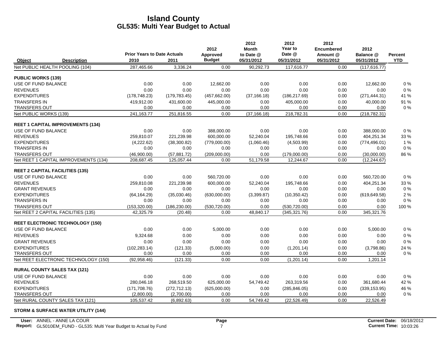|                           |                                          | <b>Prior Years to Date Actuals</b> |               | 2012                      | 2012<br><b>Month</b>    | 2012<br>Year to<br>Date @ | 2012<br><b>Encumbered</b> | 2012                    |                              |
|---------------------------|------------------------------------------|------------------------------------|---------------|---------------------------|-------------------------|---------------------------|---------------------------|-------------------------|------------------------------|
| Object                    | <b>Description</b>                       | 2010                               | 2011          | Approved<br><b>Budget</b> | to Date @<br>05/31/2012 | 05/31/2012                | Amount @<br>05/31/2012    | Balance @<br>05/31/2012 | <b>Percent</b><br><b>YTD</b> |
|                           | Net PUBLIC HEALTH POOLING (104)          | 287,465.66                         | 3,336.24      | 0.00                      | 90,292.73               | 117,616.77                | 0.00                      | (117, 616.77)           |                              |
| <b>PUBLIC WORKS (139)</b> |                                          |                                    |               |                           |                         |                           |                           |                         |                              |
| USE OF FUND BALANCE       |                                          | 0.00                               | 0.00          | 12,662.00                 | 0.00                    | 0.00                      | 0.00                      | 12,662.00               | 0%                           |
| <b>REVENUES</b>           |                                          | 0.00                               | 0.00          | 0.00                      | 0.00                    | 0.00                      | 0.00                      | 0.00                    | 0%                           |
| <b>EXPENDITURES</b>       |                                          | (178, 748.23)                      | (179, 783.45) | (457, 662.00)             | (37, 166.18)            | (186, 217.69)             | 0.00                      | (271, 444.31)           | 41 %                         |
| <b>TRANSFERS IN</b>       |                                          | 419,912.00                         | 431,600.00    | 445,000.00                | 0.00                    | 405,000.00                | 0.00                      | 40,000.00               | 91 %                         |
| <b>TRANSFERS OUT</b>      |                                          | 0.00                               | 0.00          | 0.00                      | 0.00                    | 0.00                      | 0.00                      | 0.00                    | $0\%$                        |
| Net PUBLIC WORKS (139)    |                                          | 241,163.77                         | 251,816.55    | 0.00                      | (37, 166.18)            | 218,782.31                | 0.00                      | (218, 782.31)           |                              |
|                           | <b>REET 1 CAPITAL IMPROVEMENTS (134)</b> |                                    |               |                           |                         |                           |                           |                         |                              |
| USE OF FUND BALANCE       |                                          | 0.00                               | 0.00          | 388,000.00                | 0.00                    | 0.00                      | 0.00                      | 388,000.00              | $0\%$                        |
| <b>REVENUES</b>           |                                          | 259,810.07                         | 221,239.98    | 600,000.00                | 52,240.04               | 195,748.66                | 0.00                      | 404,251.34              | 33 %                         |
| <b>EXPENDITURES</b>       |                                          | (4,222.62)                         | (38,300.82)   | (779,000.00)              | (1,060.46)              | (4,503.99)                | 0.00                      | (774, 496.01)           | 1%                           |
| <b>TRANSFERS IN</b>       |                                          | 0.00                               | 0.00          | 0.00                      | 0.00                    | 0.00                      | 0.00                      | 0.00                    | $0\%$                        |
| <b>TRANSFERS OUT</b>      |                                          | (46,900.00)                        | (57, 881.72)  | (209,000.00)              | 0.00                    | (179,000.00)              | 0.00                      | (30,000.00)             | 86 %                         |
|                           | Net REET 1 CAPITAL IMPROVEMENTS (134)    | 208,687.45                         | 125,057.44    | 0.00                      | 51,179.58               | 12,244.67                 | 0.00                      | (12, 244.67)            |                              |
|                           | <b>REET 2 CAPITAL FACILITIES (135)</b>   |                                    |               |                           |                         |                           |                           |                         |                              |
| USE OF FUND BALANCE       |                                          | 0.00                               | 0.00          | 560,720.00                | 0.00                    | 0.00                      | 0.00                      | 560,720.00              | $0\%$                        |
| <b>REVENUES</b>           |                                          | 259,810.08                         | 221,239.98    | 600,000.00                | 52,240.04               | 195,748.66                | 0.00                      | 404,251.34              | 33 %                         |
| <b>GRANT REVENUES</b>     |                                          | 0.00                               | 0.00          | 0.00                      | 0.00                    | 0.00                      | 0.00                      | 0.00                    | $0\%$                        |
| <b>EXPENDITURES</b>       |                                          | (64, 164.29)                       | (35,030.46)   | (630,000.00)              | (3,399.87)              | (10, 350.42)              | 0.00                      | (619, 649.58)           | 2%                           |
| <b>TRANSFERS IN</b>       |                                          | 0.00                               | 0.00          | 0.00                      | 0.00                    | 0.00                      | 0.00                      | 0.00                    | 0%                           |
| <b>TRANSFERS OUT</b>      |                                          | (153,320.00)                       | (186, 230.00) | (530, 720.00)             | 0.00                    | (530, 720.00)             | 0.00                      | 0.00                    | 100 %                        |
|                           | Net REET 2 CAPITAL FACILITIES (135)      | 42.325.79                          | (20.48)       | 0.00                      | 48,840.17               | (345, 321.76)             | 0.00                      | 345,321.76              |                              |
|                           | <b>REET ELECTRONIC TECHNOLOGY (150)</b>  |                                    |               |                           |                         |                           |                           |                         |                              |
| USE OF FUND BALANCE       |                                          | 0.00                               | 0.00          | 5,000.00                  | 0.00                    | 0.00                      | 0.00                      | 5,000.00                | 0%                           |
| <b>REVENUES</b>           |                                          | 9,324.68                           | 0.00          | 0.00                      | 0.00                    | 0.00                      | 0.00                      | 0.00                    | $0\ \%$                      |
| <b>GRANT REVENUES</b>     |                                          | 0.00                               | 0.00          | 0.00                      | 0.00                    | 0.00                      | 0.00                      | 0.00                    | 0%                           |
| <b>EXPENDITURES</b>       |                                          | (102, 283.14)                      | (121.33)      | (5,000.00)                | 0.00                    | (1,201.14)                | 0.00                      | (3,798.86)              | 24 %                         |
| <b>TRANSFERS OUT</b>      |                                          | 0.00                               | 0.00          | 0.00                      | 0.00                    | 0.00                      | 0.00                      | 0.00                    | $0\%$                        |
|                           | Net REET ELECTRONIC TECHNOLOGY (150)     | (92,958.46)                        | (121.33)      | 0.00                      | 0.00                    | (1,201.14)                | 0.00                      | 1,201.14                |                              |
|                           | <b>RURAL COUNTY SALES TAX (121)</b>      |                                    |               |                           |                         |                           |                           |                         |                              |
| USE OF FUND BALANCE       |                                          | 0.00                               | 0.00          | 0.00                      | 0.00                    | 0.00                      | 0.00                      | 0.00                    | 0%                           |
| <b>REVENUES</b>           |                                          | 280.046.18                         | 268,519.50    | 625,000.00                | 54,749.42               | 263,319.56                | 0.00                      | 361,680.44              | 42 %                         |
| <b>EXPENDITURES</b>       |                                          | (171, 708.76)                      | (272, 712.13) | (625,000.00)              | 0.00                    | (285, 846.05)             | 0.00                      | (339, 153.95)           | 46 %                         |
| <b>TRANSFERS OUT</b>      |                                          | (2,800.00)                         | (2,700.00)    | 0.00                      | 0.00                    | 0.00                      | 0.00                      | 0.00                    | $0\%$                        |
|                           | Net RURAL COUNTY SALES TAX (121)         | 105,537.42                         | (6,892.63)    | 0.00                      | 54.749.42               | (22,526.49)               | 0.00                      | 22,526.49               |                              |

#### **STORM & SURFACE WATER UTILITY (144)**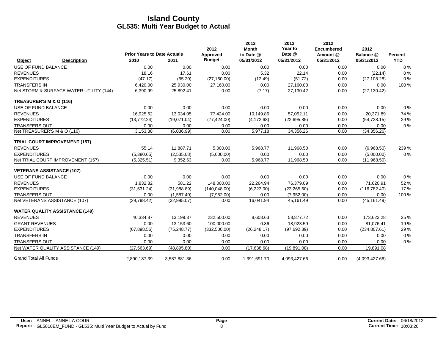|                                  |                                         | <b>Prior Years to Date Actuals</b> |              | 2012<br>Approved | 2012<br><b>Month</b><br>to Date @ | 2012<br>Year to<br>Date @ | 2012<br><b>Encumbered</b><br>Amount @ | 2012<br>Balance @ | Percent    |
|----------------------------------|-----------------------------------------|------------------------------------|--------------|------------------|-----------------------------------|---------------------------|---------------------------------------|-------------------|------------|
| Object                           | <b>Description</b>                      | 2010                               | 2011         | <b>Budget</b>    | 05/31/2012                        | 05/31/2012                | 05/31/2012                            | 05/31/2012        | <b>YTD</b> |
| <b>USE OF FUND BALANCE</b>       |                                         | 0.00                               | 0.00         | 0.00             | 0.00                              | 0.00                      | 0.00                                  | 0.00              | 0%         |
| <b>REVENUES</b>                  |                                         | 18.16                              | 17.61        | 0.00             | 5.32                              | 22.14                     | 0.00                                  | (22.14)           | 0%         |
| <b>EXPENDITURES</b>              |                                         | (47.17)                            | (55.20)      | (27, 160.00)     | (12.49)                           | (51.72)                   | 0.00                                  | (27, 108.28)      | 0%         |
| <b>TRANSFERS IN</b>              |                                         | 6,420.00                           | 25,930.00    | 27,160.00        | 0.00                              | 27,160.00                 | 0.00                                  | 0.00              | 100 %      |
|                                  | Net STORM & SURFACE WATER UTILITY (144) | 6,390.99                           | 25,892.41    | 0.00             | (7.17)                            | 27,130.42                 | 0.00                                  | (27, 130.42)      |            |
| TREASURER'S M & O (116)          |                                         |                                    |              |                  |                                   |                           |                                       |                   |            |
| USE OF FUND BALANCE              |                                         | 0.00                               | 0.00         | 0.00             | 0.00                              | 0.00                      | 0.00                                  | 0.00              | $0\%$      |
| <b>REVENUES</b>                  |                                         | 16,925.62                          | 13,034.05    | 77,424.00        | 10,149.86                         | 57,052.11                 | 0.00                                  | 20,371.89         | 74 %       |
| <b>EXPENDITURES</b>              |                                         | (13, 772.24)                       | (19,071.04)  | (77, 424.00)     | (4, 172.68)                       | (22,695.85)               | 0.00                                  | (54, 728.15)      | 29 %       |
| <b>TRANSFERS OUT</b>             |                                         | 0.00                               | 0.00         | 0.00             | 0.00                              | 0.00                      | 0.00                                  | 0.00              | 0%         |
| Net TREASURER'S M & O (116)      |                                         | 3,153.38                           | (6,036.99)   | 0.00             | 5,977.18                          | 34,356.26                 | 0.00                                  | (34, 356.26)      |            |
|                                  | <b>TRIAL COURT IMPROVEMENT (157)</b>    |                                    |              |                  |                                   |                           |                                       |                   |            |
| <b>REVENUES</b>                  |                                         | 55.14                              | 11,887.71    | 5,000.00         | 5,968.77                          | 11,968.50                 | 0.00                                  | (6,968.50)        | 239 %      |
| <b>EXPENDITURES</b>              |                                         | (5,380.65)                         | (2,535.08)   | (5,000.00)       | 0.00                              | 0.00                      | 0.00                                  | (5,000.00)        | 0%         |
|                                  | Net TRIAL COURT IMPROVEMENT (157)       | (5,325.51)                         | 9,352.63     | 0.00             | 5,968.77                          | 11,968.50                 | 0.00                                  | (11,968.50)       |            |
| <b>VETERANS ASSISTANCE (107)</b> |                                         |                                    |              |                  |                                   |                           |                                       |                   |            |
| USE OF FUND BALANCE              |                                         | 0.00                               | 0.00         | 0.00             | 0.00                              | 0.00                      | 0.00                                  | 0.00              | $0\%$      |
| <b>REVENUES</b>                  |                                         | 1,832.82                           | 581.22       | 148,000.00       | 22,264.94                         | 76,379.09                 | 0.00                                  | 71,620.91         | 52 %       |
| <b>EXPENDITURES</b>              |                                         | (31, 631.24)                       | (31,988.89)  | (140, 048.00)    | (6, 223.00)                       | (23, 265.60)              | 0.00                                  | (116, 782.40)     | 17%        |
| <b>TRANSFERS OUT</b>             |                                         | 0.00                               | (1,587.40)   | (7,952.00)       | 0.00                              | (7,952.00)                | 0.00                                  | 0.00              | 100 %      |
|                                  | Net VETERANS ASSISTANCE (107)           | (29, 798.42)                       | (32,995.07)  | 0.00             | 16,041.94                         | 45,161.49                 | 0.00                                  | (45, 161.49)      |            |
|                                  | <b>WATER QUALITY ASSISTANCE (149)</b>   |                                    |              |                  |                                   |                           |                                       |                   |            |
| <b>REVENUES</b>                  |                                         | 40,334.87                          | 13,199.37    | 232,500.00       | 8,608.63                          | 58,877.72                 | 0.00                                  | 173,622.28        | 25 %       |
| <b>GRANT REVENUES</b>            |                                         | 0.00                               | 13,153.60    | 100,000.00       | 0.86                              | 18,923.59                 | 0.00                                  | 81,076.41         | 19%        |
| <b>EXPENDITURES</b>              |                                         | (67, 898.56)                       | (75, 248.77) | (332, 500.00)    | (26, 248.17)                      | (97,692.39)               | 0.00                                  | (234, 807.61)     | 29 %       |
| <b>TRANSFERS IN</b>              |                                         | 0.00                               | 0.00         | 0.00             | 0.00                              | 0.00                      | 0.00                                  | 0.00              | 0%         |
| <b>TRANSFERS OUT</b>             |                                         | 0.00                               | 0.00         | 0.00             | 0.00                              | 0.00                      | 0.00                                  | 0.00              | 0%         |
|                                  | Net WATER QUALITY ASSISTANCE (149)      | (27, 563.69)                       | (48, 895.80) | 0.00             | (17,638.68)                       | (19, 891.08)              | 0.00                                  | 19,891.08         |            |
| <b>Grand Total All Funds</b>     |                                         | 2,890,187.39                       | 3,587,881.36 | 0.00             | 1,391,691.70                      | 4,093,427.66              | 0.00                                  | (4,093,427.66)    |            |